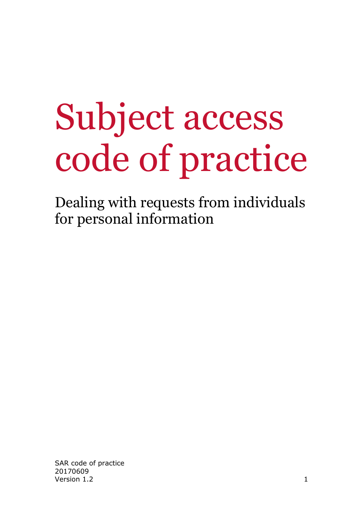# Subject access code of practice

Dealing with requests from individuals for personal information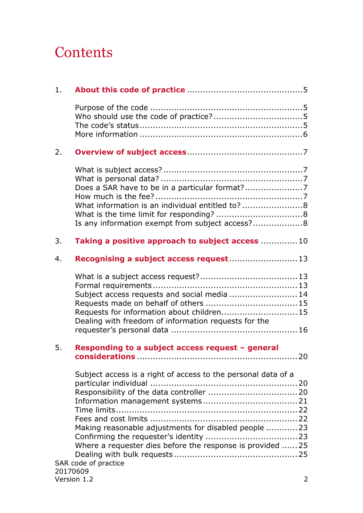# **Contents**

| 1.               |                                                                                                                                                                                     |     |
|------------------|-------------------------------------------------------------------------------------------------------------------------------------------------------------------------------------|-----|
|                  |                                                                                                                                                                                     |     |
| 2.               |                                                                                                                                                                                     |     |
|                  | What information is an individual entitled to? 8<br>Is any information exempt from subject access? 8                                                                                |     |
| 3.               | Taking a positive approach to subject access  10                                                                                                                                    |     |
| $\overline{4}$ . | Recognising a subject access request 13                                                                                                                                             |     |
|                  | Subject access requests and social media  14<br>Requests for information about children 15<br>Dealing with freedom of information requests for the                                  |     |
| 5.               | Responding to a subject access request - general                                                                                                                                    | .20 |
|                  | Subject access is a right of access to the personal data of a<br>Making reasonable adjustments for disabled people  23<br>Where a requester dies before the response is provided 25 |     |
|                  | SAR code of practice<br>20170609<br>Version 1.2                                                                                                                                     | 2   |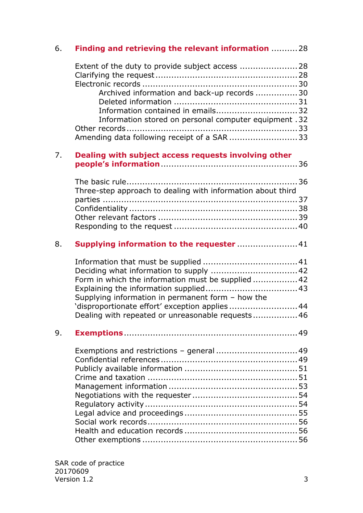| 6. | Finding and retrieving the relevant information  28                                              |  |
|----|--------------------------------------------------------------------------------------------------|--|
|    | Extent of the duty to provide subject access  28<br>Archived information and back-up records  30 |  |
|    | Information contained in emails32                                                                |  |
|    | 12. Information stored on personal computer equipment                                            |  |
|    | Amending data following receipt of a SAR 33                                                      |  |
| 7. | Dealing with subject access requests involving other                                             |  |
|    | Three-step approach to dealing with information about third                                      |  |
|    |                                                                                                  |  |
|    |                                                                                                  |  |
|    |                                                                                                  |  |
| 8. | Supplying information to the requester  41                                                       |  |
|    |                                                                                                  |  |
|    |                                                                                                  |  |
|    | Form in which the information must be supplied  42                                               |  |
|    |                                                                                                  |  |
|    | Supplying information in permanent form - how the                                                |  |
|    | 'disproportionate effort' exception applies  44                                                  |  |
|    | Dealing with repeated or unreasonable requests 46                                                |  |
| 9. |                                                                                                  |  |
|    | Exemptions and restrictions - general  49                                                        |  |
|    |                                                                                                  |  |
|    |                                                                                                  |  |
|    |                                                                                                  |  |
|    |                                                                                                  |  |
|    |                                                                                                  |  |
|    |                                                                                                  |  |
|    |                                                                                                  |  |
|    |                                                                                                  |  |
|    |                                                                                                  |  |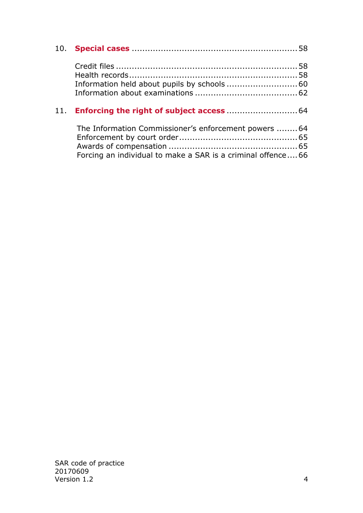<span id="page-3-0"></span>

|  | The Information Commissioner's enforcement powers 64<br>Forcing an individual to make a SAR is a criminal offence66 |  |
|--|---------------------------------------------------------------------------------------------------------------------|--|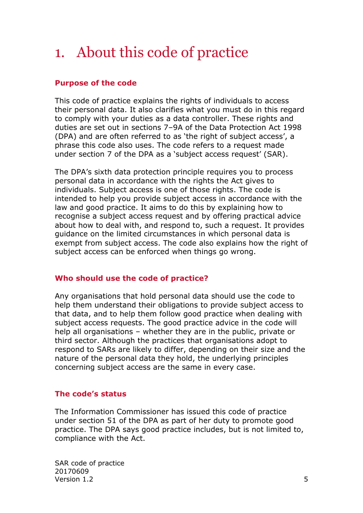# 1. About this code of practice

# <span id="page-4-0"></span>**Purpose of the code**

This code of practice explains the rights of individuals to access their personal data. It also clarifies what you must do in this regard to comply with your duties as a data controller. These rights and duties are set out in sections 7–9A of the Data Protection Act 1998 (DPA) and are often referred to as 'the right of subject access', a phrase this code also uses. The code refers to a request made under section 7 of the DPA as a 'subject access request' (SAR).

The DPA's sixth data protection principle requires you to process personal data in accordance with the rights the Act gives to individuals. Subject access is one of those rights. The code is intended to help you provide subject access in accordance with the law and good practice. It aims to do this by explaining how to recognise a subject access request and by offering practical advice about how to deal with, and respond to, such a request. It provides guidance on the limited circumstances in which personal data is exempt from subject access. The code also explains how the right of subject access can be enforced when things go wrong.

#### <span id="page-4-1"></span>**Who should use the code of practice?**

Any organisations that hold personal data should use the code to help them understand their obligations to provide subject access to that data, and to help them follow good practice when dealing with subject access requests. The good practice advice in the code will help all organisations – whether they are in the public, private or third sector. Although the practices that organisations adopt to respond to SARs are likely to differ, depending on their size and the nature of the personal data they hold, the underlying principles concerning subject access are the same in every case.

#### <span id="page-4-2"></span>**The code's status**

The Information Commissioner has issued this code of practice under section 51 of the DPA as part of her duty to promote good practice. The DPA says good practice includes, but is not limited to, compliance with the Act.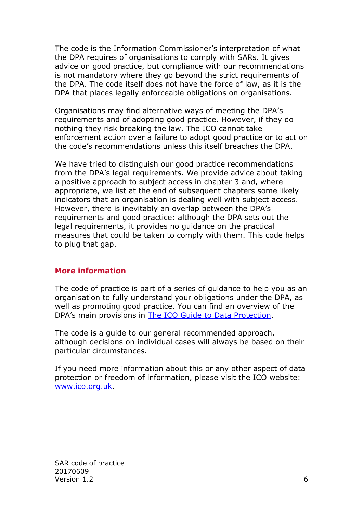The code is the Information Commissioner's interpretation of what the DPA requires of organisations to comply with SARs. It gives advice on good practice, but compliance with our recommendations is not mandatory where they go beyond the strict requirements of the DPA. The code itself does not have the force of law, as it is the DPA that places legally enforceable obligations on organisations.

Organisations may find alternative ways of meeting the DPA's requirements and of adopting good practice. However, if they do nothing they risk breaking the law. The ICO cannot take enforcement action over a failure to adopt good practice or to act on the code's recommendations unless this itself breaches the DPA.

We have tried to distinguish our good practice recommendations from the DPA's legal requirements. We provide advice about taking a positive approach to subject access in chapter 3 and, where appropriate, we list at the end of subsequent chapters some likely indicators that an organisation is dealing well with subject access. However, there is inevitably an overlap between the DPA's requirements and good practice: although the DPA sets out the legal requirements, it provides no guidance on the practical measures that could be taken to comply with them. This code helps to plug that gap.

#### <span id="page-5-0"></span>**More information**

The code of practice is part of a series of guidance to help you as an organisation to fully understand your obligations under the DPA, as well as promoting good practice. You can find an overview of the DPA's main provisions in The ICO [Guide to Data Protection.](https://ico.org.uk/for-organisations/guide-to-data-protection/)

The code is a guide to our general recommended approach, although decisions on individual cases will always be based on their particular circumstances.

If you need more information about this or any other aspect of data protection or freedom of information, please visit the ICO website: [www.ico.org.uk.](http://www.ico.org.uk/)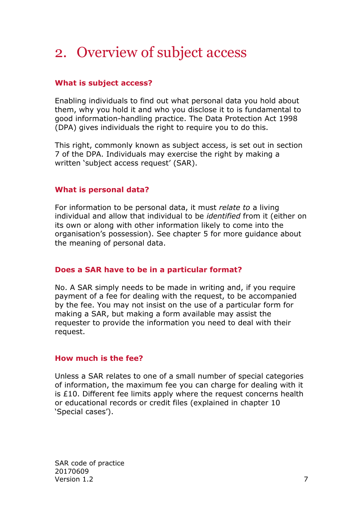# <span id="page-6-0"></span>2. Overview of subject access

# <span id="page-6-1"></span>**What is subject access?**

Enabling individuals to find out what personal data you hold about them, why you hold it and who you disclose it to is fundamental to good information-handling practice. The Data Protection Act 1998 (DPA) gives individuals the right to require you to do this.

This right, commonly known as subject access, is set out in section 7 of the DPA. Individuals may exercise the right by making a written 'subject access request' (SAR).

# <span id="page-6-2"></span>**What is personal data?**

For information to be personal data, it must *relate to* a living individual and allow that individual to be *identified* from it (either on its own or along with other information likely to come into the organisation's possession). See chapter 5 for more guidance about the meaning of personal data.

# <span id="page-6-3"></span>**Does a SAR have to be in a particular format?**

No. A SAR simply needs to be made in writing and, if you require payment of a fee for dealing with the request, to be accompanied by the fee. You may not insist on the use of a particular form for making a SAR, but making a form available may assist the requester to provide the information you need to deal with their request.

#### <span id="page-6-4"></span>**How much is the fee?**

Unless a SAR relates to one of a small number of special categories of information, the maximum fee you can charge for dealing with it is £10. Different fee limits apply where the request concerns health or educational records or credit files (explained in chapter 10 'Special cases').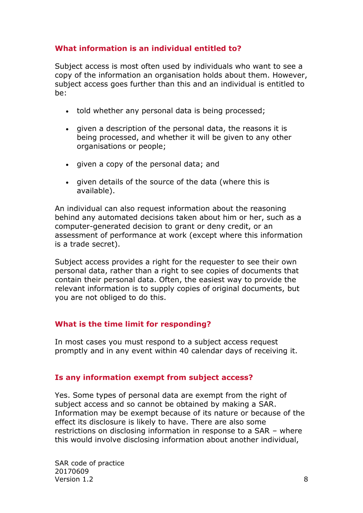# <span id="page-7-0"></span>**What information is an individual entitled to?**

Subject access is most often used by individuals who want to see a copy of the information an organisation holds about them. However, subject access goes further than this and an individual is entitled to be:

- told whether any personal data is being processed:
- given a description of the personal data, the reasons it is being processed, and whether it will be given to any other organisations or people;
- given a copy of the personal data; and
- given details of the source of the data (where this is available).

An individual can also request information about the reasoning behind any automated decisions taken about him or her, such as a computer-generated decision to grant or deny credit, or an assessment of performance at work (except where this information is a trade secret).

Subject access provides a right for the requester to see their own personal data, rather than a right to see copies of documents that contain their personal data. Often, the easiest way to provide the relevant information is to supply copies of original documents, but you are not obliged to do this.

#### <span id="page-7-1"></span>**What is the time limit for responding?**

In most cases you must respond to a subject access request promptly and in any event within 40 calendar days of receiving it.

#### <span id="page-7-2"></span>**Is any information exempt from subject access?**

Yes. Some types of personal data are exempt from the right of subject access and so cannot be obtained by making a SAR. Information may be exempt because of its nature or because of the effect its disclosure is likely to have. There are also some restrictions on disclosing information in response to a SAR – where this would involve disclosing information about another individual,

SAR code of practice 20170609 Version  $1.2 \hspace{2.5cm} 8$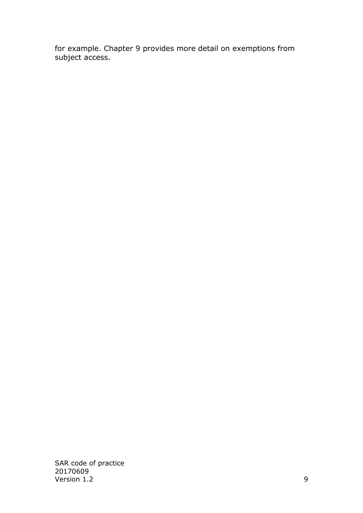for example. Chapter 9 provides more detail on exemptions from subject access.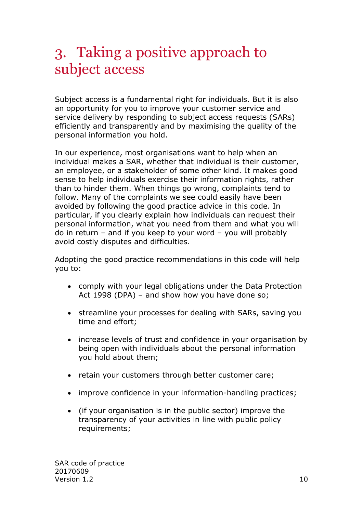# <span id="page-9-0"></span>3. Taking a positive approach to subject access

Subject access is a fundamental right for individuals. But it is also an opportunity for you to improve your customer service and service delivery by responding to subject access requests (SARs) efficiently and transparently and by maximising the quality of the personal information you hold.

In our experience, most organisations want to help when an individual makes a SAR, whether that individual is their customer, an employee, or a stakeholder of some other kind. It makes good sense to help individuals exercise their information rights, rather than to hinder them. When things go wrong, complaints tend to follow. Many of the complaints we see could easily have been avoided by following the good practice advice in this code. In particular, if you clearly explain how individuals can request their personal information, what you need from them and what you will do in return – and if you keep to your word – you will probably avoid costly disputes and difficulties.

Adopting the good practice recommendations in this code will help you to:

- comply with your legal obligations under the Data Protection Act 1998 (DPA) – and show how you have done so;
- streamline your processes for dealing with SARs, saving you time and effort;
- increase levels of trust and confidence in your organisation by being open with individuals about the personal information you hold about them;
- retain your customers through better customer care;
- improve confidence in your information-handling practices;
- (if your organisation is in the public sector) improve the transparency of your activities in line with public policy requirements;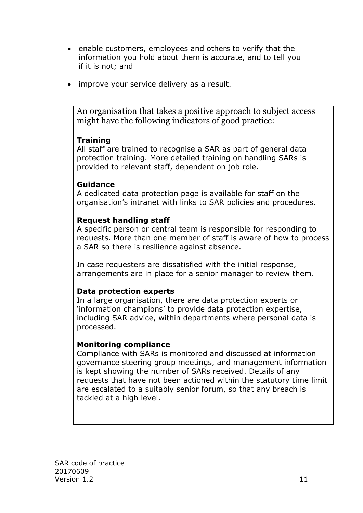- enable customers, employees and others to verify that the information you hold about them is accurate, and to tell you if it is not; and
- improve your service delivery as a result.

An organisation that takes a positive approach to subject access might have the following indicators of good practice:

# **Training**

All staff are trained to recognise a SAR as part of general data protection training. More detailed training on handling SARs is provided to relevant staff, dependent on job role.

### **Guidance**

A dedicated data protection page is available for staff on the organisation's intranet with links to SAR policies and procedures.

# **Request handling staff**

A specific person or central team is responsible for responding to requests. More than one member of staff is aware of how to process a SAR so there is resilience against absence.

In case requesters are dissatisfied with the initial response, arrangements are in place for a senior manager to review them.

# **Data protection experts**

In a large organisation, there are data protection experts or 'information champions' to provide data protection expertise, including SAR advice, within departments where personal data is processed.

#### **Monitoring compliance**

Compliance with SARs is monitored and discussed at information governance steering group meetings, and management information is kept showing the number of SARs received. Details of any requests that have not been actioned within the statutory time limit are escalated to a suitably senior forum, so that any breach is tackled at a high level.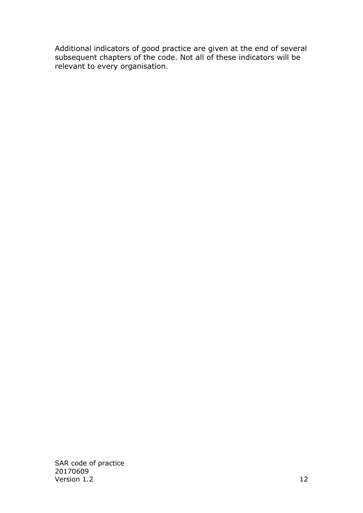Additional indicators of good practice are given at the end of several subsequent chapters of the code. Not all of these indicators will be relevant to every organisation.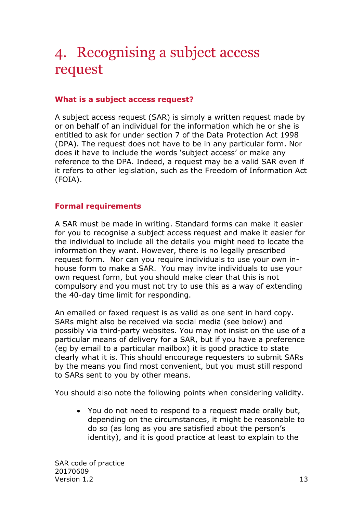# <span id="page-12-0"></span>4. Recognising a subject access request

## <span id="page-12-1"></span>**What is a subject access request?**

A subject access request (SAR) is simply a written request made by or on behalf of an individual for the information which he or she is entitled to ask for under section 7 of the Data Protection Act 1998 (DPA). The request does not have to be in any particular form. Nor does it have to include the words 'subject access' or make any reference to the DPA. Indeed, a request may be a valid SAR even if it refers to other legislation, such as the Freedom of Information Act (FOIA).

#### <span id="page-12-2"></span>**Formal requirements**

A SAR must be made in writing. Standard forms can make it easier for you to recognise a subject access request and make it easier for the individual to include all the details you might need to locate the information they want. However, there is no legally prescribed request form. Nor can you require individuals to use your own inhouse form to make a SAR. You may invite individuals to use your own request form, but you should make clear that this is not compulsory and you must not try to use this as a way of extending the 40-day time limit for responding.

An emailed or faxed request is as valid as one sent in hard copy. SARs might also be received via social media (see below) and possibly via third-party websites. You may not insist on the use of a particular means of delivery for a SAR, but if you have a preference (eg by email to a particular mailbox) it is good practice to state clearly what it is. This should encourage requesters to submit SARs by the means you find most convenient, but you must still respond to SARs sent to you by other means.

You should also note the following points when considering validity.

 You do not need to respond to a request made orally but, depending on the circumstances, it might be reasonable to do so (as long as you are satisfied about the person's identity), and it is good practice at least to explain to the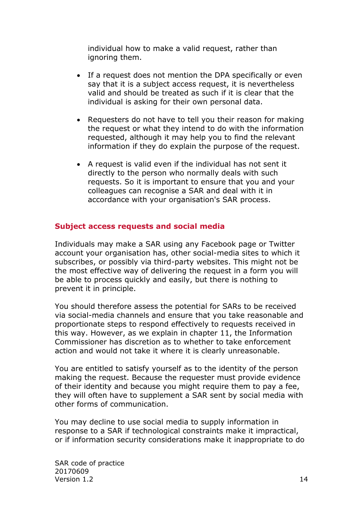individual how to make a valid request, rather than ignoring them.

- If a request does not mention the DPA specifically or even say that it is a subject access request, it is nevertheless valid and should be treated as such if it is clear that the individual is asking for their own personal data.
- Requesters do not have to tell you their reason for making the request or what they intend to do with the information requested, although it may help you to find the relevant information if they do explain the purpose of the request.
- A request is valid even if the individual has not sent it directly to the person who normally deals with such requests. So it is important to ensure that you and your colleagues can recognise a SAR and deal with it in accordance with your organisation's SAR process.

### <span id="page-13-0"></span>**Subject access requests and social media**

Individuals may make a SAR using any Facebook page or Twitter account your organisation has, other social-media sites to which it subscribes, or possibly via third-party websites. This might not be the most effective way of delivering the request in a form you will be able to process quickly and easily, but there is nothing to prevent it in principle.

You should therefore assess the potential for SARs to be received via social-media channels and ensure that you take reasonable and proportionate steps to respond effectively to requests received in this way. However, as we explain in chapter 11, the Information Commissioner has discretion as to whether to take enforcement action and would not take it where it is clearly unreasonable.

You are entitled to satisfy yourself as to the identity of the person making the request. Because the requester must provide evidence of their identity and because you might require them to pay a fee, they will often have to supplement a SAR sent by social media with other forms of communication.

You may decline to use social media to supply information in response to a SAR if technological constraints make it impractical, or if information security considerations make it inappropriate to do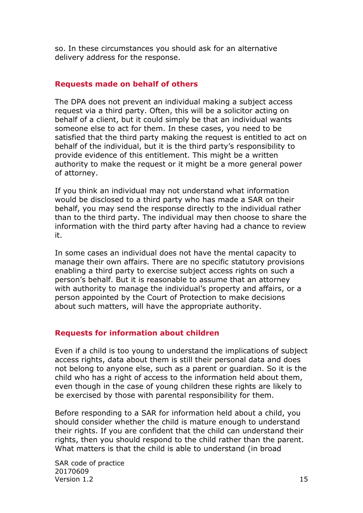so. In these circumstances you should ask for an alternative delivery address for the response.

#### <span id="page-14-0"></span>**Requests made on behalf of others**

The DPA does not prevent an individual making a subject access request via a third party. Often, this will be a solicitor acting on behalf of a client, but it could simply be that an individual wants someone else to act for them. In these cases, you need to be satisfied that the third party making the request is entitled to act on behalf of the individual, but it is the third party's responsibility to provide evidence of this entitlement. This might be a written authority to make the request or it might be a more general power of attorney.

If you think an individual may not understand what information would be disclosed to a third party who has made a SAR on their behalf, you may send the response directly to the individual rather than to the third party. The individual may then choose to share the information with the third party after having had a chance to review it.

In some cases an individual does not have the mental capacity to manage their own affairs. There are no specific statutory provisions enabling a third party to exercise subject access rights on such a person's behalf. But it is reasonable to assume that an attorney with authority to manage the individual's property and affairs, or a person appointed by the Court of Protection to make decisions about such matters, will have the appropriate authority.

# <span id="page-14-1"></span>**Requests for information about children**

Even if a child is too young to understand the implications of subject access rights, data about them is still their personal data and does not belong to anyone else, such as a parent or guardian. So it is the child who has a right of access to the information held about them, even though in the case of young children these rights are likely to be exercised by those with parental responsibility for them.

Before responding to a SAR for information held about a child, you should consider whether the child is mature enough to understand their rights. If you are confident that the child can understand their rights, then you should respond to the child rather than the parent. What matters is that the child is able to understand (in broad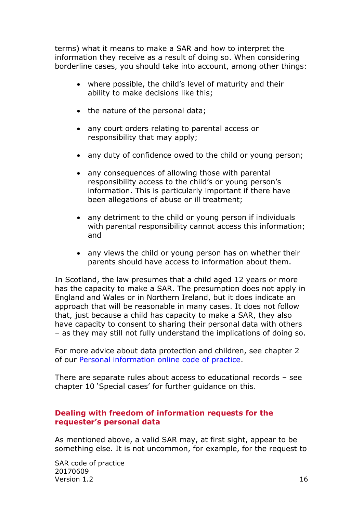terms) what it means to make a SAR and how to interpret the information they receive as a result of doing so. When considering borderline cases, you should take into account, among other things:

- where possible, the child's level of maturity and their ability to make decisions like this;
- the nature of the personal data;
- any court orders relating to parental access or responsibility that may apply;
- any duty of confidence owed to the child or young person;
- any consequences of allowing those with parental responsibility access to the child's or young person's information. This is particularly important if there have been allegations of abuse or ill treatment;
- any detriment to the child or young person if individuals with parental responsibility cannot access this information; and
- any views the child or young person has on whether their parents should have access to information about them.

In Scotland, the law presumes that a child aged 12 years or more has the capacity to make a SAR. The presumption does not apply in England and Wales or in Northern Ireland, but it does indicate an approach that will be reasonable in many cases. It does not follow that, just because a child has capacity to make a SAR, they also have capacity to consent to sharing their personal data with others – as they may still not fully understand the implications of doing so.

For more advice about data protection and children, see chapter 2 of our [Personal information online code of practice.](https://ico.org.uk/media/for-organisations/documents/1591/personal_information_online_cop.pdf)

There are separate rules about access to educational records – see chapter 10 'Special cases' for further guidance on this.

#### <span id="page-15-0"></span>**Dealing with freedom of information requests for the requester's personal data**

As mentioned above, a valid SAR may, at first sight, appear to be something else. It is not uncommon, for example, for the request to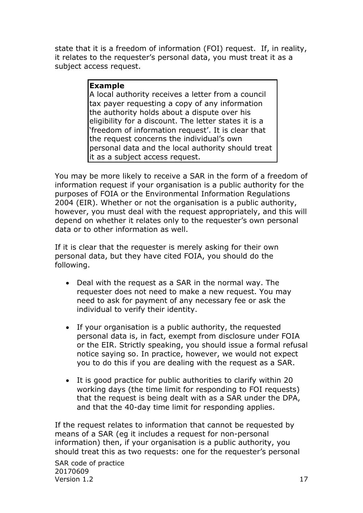state that it is a freedom of information (FOI) request. If, in reality, it relates to the requester's personal data, you must treat it as a subject access request.

### **Example**

A local authority receives a letter from a council tax payer requesting a copy of any information the authority holds about a dispute over his eligibility for a discount. The letter states it is a 'freedom of information request'. It is clear that the request concerns the individual's own personal data and the local authority should treat it as a subject access request.

You may be more likely to receive a SAR in the form of a freedom of information request if your organisation is a public authority for the purposes of FOIA or the Environmental Information Regulations 2004 (EIR). Whether or not the organisation is a public authority, however, you must deal with the request appropriately, and this will depend on whether it relates only to the requester's own personal data or to other information as well.

If it is clear that the requester is merely asking for their own personal data, but they have cited FOIA, you should do the following.

- Deal with the request as a SAR in the normal way. The requester does not need to make a new request. You may need to ask for payment of any necessary fee or ask the individual to verify their identity.
- If your organisation is a public authority, the requested personal data is, in fact, exempt from disclosure under FOIA or the EIR. Strictly speaking, you should issue a formal refusal notice saying so. In practice, however, we would not expect you to do this if you are dealing with the request as a SAR.
- It is good practice for public authorities to clarify within 20 working days (the time limit for responding to FOI requests) that the request is being dealt with as a SAR under the DPA, and that the 40-day time limit for responding applies.

If the request relates to information that cannot be requested by means of a SAR (eg it includes a request for non-personal information) then, if your organisation is a public authority, you should treat this as two requests: one for the requester's personal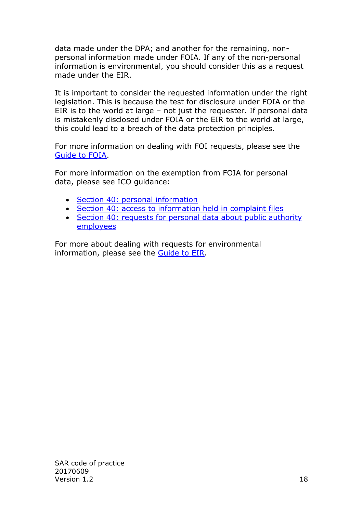data made under the DPA; and another for the remaining, nonpersonal information made under FOIA. If any of the non-personal information is environmental, you should consider this as a request made under the EIR.

It is important to consider the requested information under the right legislation. This is because the test for disclosure under FOIA or the EIR is to the world at large – not just the requester. If personal data is mistakenly disclosed under FOIA or the EIR to the world at large, this could lead to a breach of the data protection principles.

For more information on dealing with FOI requests, please see the [Guide to FOIA.](https://ico.org.uk/for-organisations/guide-to-freedom-of-information/)

For more information on the exemption from FOIA for personal data, please see ICO guidance:

- [Section 40: personal information](https://ico.org.uk/media/for-organisations/documents/1213/personal-information-section-40-and-regulation-13-foia-and-eir-guidance.pdf)
- [Section 40: access to information held in complaint files](https://ico.org.uk/media/for-organisations/documents/1179/access_to_information_held_in_complaint_files.pdf)
- Section 40: requests for personal data about public authority [employees](https://ico.org.uk/media/for-organisations/documents/1187/section_40_requests_for_personal_data_about_employees.pdf)

For more about dealing with requests for environmental information, please see the [Guide to EIR.](https://ico.org.uk/for-organisations/guide-to-freedom-of-information/)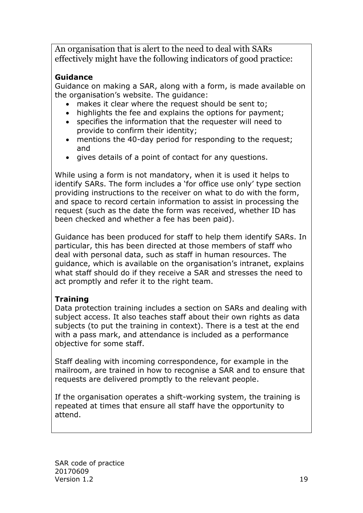An organisation that is alert to the need to deal with SARs effectively might have the following indicators of good practice:

# **Guidance**

Guidance on making a SAR, along with a form, is made available on the organisation's website. The guidance:

- makes it clear where the request should be sent to:
- highlights the fee and explains the options for payment;
- specifies the information that the requester will need to provide to confirm their identity;
- mentions the 40-day period for responding to the request; and
- gives details of a point of contact for any questions.

While using a form is not mandatory, when it is used it helps to identify SARs. The form includes a 'for office use only' type section providing instructions to the receiver on what to do with the form, and space to record certain information to assist in processing the request (such as the date the form was received, whether ID has been checked and whether a fee has been paid).

Guidance has been produced for staff to help them identify SARs. In particular, this has been directed at those members of staff who deal with personal data, such as staff in human resources. The guidance, which is available on the organisation's intranet, explains what staff should do if they receive a SAR and stresses the need to act promptly and refer it to the right team.

# **Training**

Data protection training includes a section on SARs and dealing with subject access. It also teaches staff about their own rights as data subjects (to put the training in context). There is a test at the end with a pass mark, and attendance is included as a performance objective for some staff.

Staff dealing with incoming correspondence, for example in the mailroom, are trained in how to recognise a SAR and to ensure that requests are delivered promptly to the relevant people.

If the organisation operates a shift-working system, the training is repeated at times that ensure all staff have the opportunity to attend.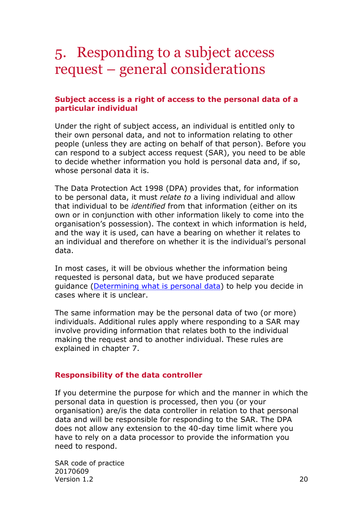# <span id="page-19-0"></span>5. Responding to a subject access request – general considerations

#### <span id="page-19-1"></span>**Subject access is a right of access to the personal data of a particular individual**

Under the right of subject access, an individual is entitled only to their own personal data, and not to information relating to other people (unless they are acting on behalf of that person). Before you can respond to a subject access request (SAR), you need to be able to decide whether information you hold is personal data and, if so, whose personal data it is.

The Data Protection Act 1998 (DPA) provides that, for information to be personal data, it must *relate to* a living individual and allow that individual to be *identified* from that information (either on its own or in conjunction with other information likely to come into the organisation's possession). The context in which information is held, and the way it is used, can have a bearing on whether it relates to an individual and therefore on whether it is the individual's personal data.

In most cases, it will be obvious whether the information being requested is personal data, but we have produced separate guidance [\(Determining what is personal data\)](https://ico.org.uk/media/for-organisations/documents/1554/determining-what-is-personal-data.pdf) to help you decide in cases where it is unclear.

The same information may be the personal data of two (or more) individuals. Additional rules apply where responding to a SAR may involve providing information that relates both to the individual making the request and to another individual. These rules are explained in chapter 7.

#### <span id="page-19-2"></span>**Responsibility of the data controller**

If you determine the purpose for which and the manner in which the personal data in question is processed, then you (or your organisation) are/is the data controller in relation to that personal data and will be responsible for responding to the SAR. The DPA does not allow any extension to the 40-day time limit where you have to rely on a data processor to provide the information you need to respond.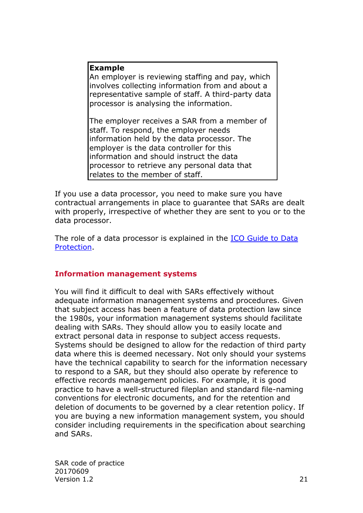#### **Example**

An employer is reviewing staffing and pay, which involves collecting information from and about a representative sample of staff. A third-party data processor is analysing the information.

The employer receives a SAR from a member of staff. To respond, the employer needs information held by the data processor. The employer is the data controller for this information and should instruct the data processor to retrieve any personal data that relates to the member of staff.

If you use a data processor, you need to make sure you have contractual arrangements in place to guarantee that SARs are dealt with properly, irrespective of whether they are sent to you or to the data processor.

The role of a data processor is explained in the [ICO Guide to Data](https://ico.org.uk/for-organisations/guide-to-data-protection/)  [Protection.](https://ico.org.uk/for-organisations/guide-to-data-protection/)

# <span id="page-20-0"></span>**Information management systems**

You will find it difficult to deal with SARs effectively without adequate information management systems and procedures. Given that subject access has been a feature of data protection law since the 1980s, your information management systems should facilitate dealing with SARs. They should allow you to easily locate and extract personal data in response to subject access requests. Systems should be designed to allow for the redaction of third party data where this is deemed necessary. Not only should your systems have the technical capability to search for the information necessary to respond to a SAR, but they should also operate by reference to effective records management policies. For example, it is good practice to have a well-structured fileplan and standard file-naming conventions for electronic documents, and for the retention and deletion of documents to be governed by a clear retention policy. If you are buying a new information management system, you should consider including requirements in the specification about searching and SARs.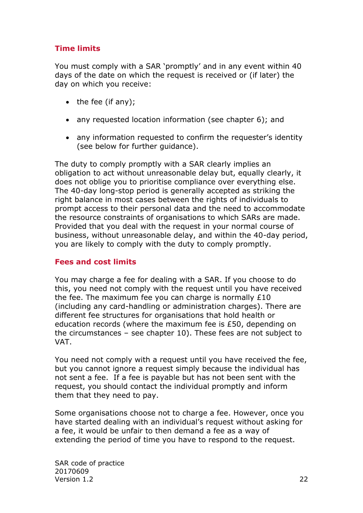# <span id="page-21-0"></span>**Time limits**

You must comply with a SAR 'promptly' and in any event within 40 days of the date on which the request is received or (if later) the day on which you receive:

- $\bullet$  the fee (if any);
- any requested location information (see chapter 6); and
- any information requested to confirm the requester's identity (see below for further guidance).

The duty to comply promptly with a SAR clearly implies an obligation to act without unreasonable delay but, equally clearly, it does not oblige you to prioritise compliance over everything else. The 40-day long-stop period is generally accepted as striking the right balance in most cases between the rights of individuals to prompt access to their personal data and the need to accommodate the resource constraints of organisations to which SARs are made. Provided that you deal with the request in your normal course of business, without unreasonable delay, and within the 40-day period, you are likely to comply with the duty to comply promptly.

#### <span id="page-21-1"></span>**Fees and cost limits**

You may charge a fee for dealing with a SAR. If you choose to do this, you need not comply with the request until you have received the fee. The maximum fee you can charge is normally £10 (including any card-handling or administration charges). There are different fee structures for organisations that hold health or education records (where the maximum fee is £50, depending on the circumstances – see chapter 10). These fees are not subject to VAT.

You need not comply with a request until you have received the fee, but you cannot ignore a request simply because the individual has not sent a fee. If a fee is payable but has not been sent with the request, you should contact the individual promptly and inform them that they need to pay.

Some organisations choose not to charge a fee. However, once you have started dealing with an individual's request without asking for a fee, it would be unfair to then demand a fee as a way of extending the period of time you have to respond to the request.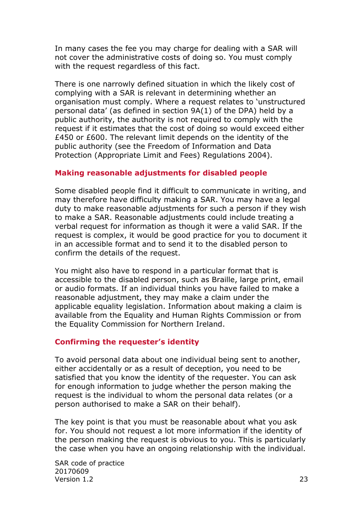In many cases the fee you may charge for dealing with a SAR will not cover the administrative costs of doing so. You must comply with the request regardless of this fact.

There is one narrowly defined situation in which the likely cost of complying with a SAR is relevant in determining whether an organisation must comply. Where a request relates to 'unstructured personal data' (as defined in section 9A(1) of the DPA) held by a public authority, the authority is not required to comply with the request if it estimates that the cost of doing so would exceed either £450 or £600. The relevant limit depends on the identity of the public authority (see the Freedom of Information and Data Protection (Appropriate Limit and Fees) Regulations 2004).

#### <span id="page-22-0"></span>**Making reasonable adjustments for disabled people**

Some disabled people find it difficult to communicate in writing, and may therefore have difficulty making a SAR. You may have a legal duty to make reasonable adjustments for such a person if they wish to make a SAR. Reasonable adjustments could include treating a verbal request for information as though it were a valid SAR. If the request is complex, it would be good practice for you to document it in an accessible format and to send it to the disabled person to confirm the details of the request.

You might also have to respond in a particular format that is accessible to the disabled person, such as Braille, large print, email or audio formats. If an individual thinks you have failed to make a reasonable adjustment, they may make a claim under the applicable equality legislation. Information about making a claim is available from the Equality and Human Rights Commission or from the Equality Commission for Northern Ireland.

#### <span id="page-22-1"></span>**Confirming the requester's identity**

To avoid personal data about one individual being sent to another, either accidentally or as a result of deception, you need to be satisfied that you know the identity of the requester. You can ask for enough information to judge whether the person making the request is the individual to whom the personal data relates (or a person authorised to make a SAR on their behalf).

The key point is that you must be reasonable about what you ask for. You should not request a lot more information if the identity of the person making the request is obvious to you. This is particularly the case when you have an ongoing relationship with the individual.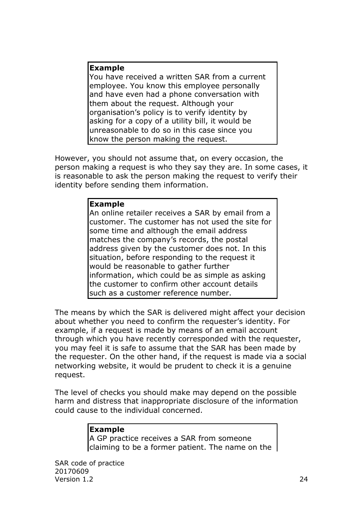#### **Example**

You have received a written SAR from a current employee. You know this employee personally and have even had a phone conversation with them about the request. Although your organisation's policy is to verify identity by asking for a copy of a utility bill, it would be unreasonable to do so in this case since you know the person making the request.

However, you should not assume that, on every occasion, the person making a request is who they say they are. In some cases, it is reasonable to ask the person making the request to verify their identity before sending them information.

#### **Example**

An online retailer receives a SAR by email from a customer. The customer has not used the site for some time and although the email address matches the company's records, the postal address given by the customer does not. In this situation, before responding to the request it would be reasonable to gather further information, which could be as simple as asking the customer to confirm other account details such as a customer reference number.

The means by which the SAR is delivered might affect your decision about whether you need to confirm the requester's identity. For example, if a request is made by means of an email account through which you have recently corresponded with the requester, you may feel it is safe to assume that the SAR has been made by the requester. On the other hand, if the request is made via a social networking website, it would be prudent to check it is a genuine request.

The level of checks you should make may depend on the possible harm and distress that inappropriate disclosure of the information could cause to the individual concerned.

#### **Example**

A GP practice receives a SAR from someone claiming to be a former patient. The name on the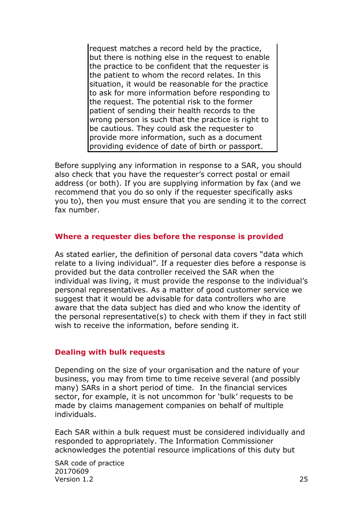request matches a record held by the practice, but there is nothing else in the request to enable the practice to be confident that the requester is the patient to whom the record relates. In this situation, it would be reasonable for the practice to ask for more information before responding to the request. The potential risk to the former patient of sending their health records to the wrong person is such that the practice is right to be cautious. They could ask the requester to provide more information, such as a document providing evidence of date of birth or passport.

Before supplying any information in response to a SAR, you should also check that you have the requester's correct postal or email address (or both). If you are supplying information by fax (and we recommend that you do so only if the requester specifically asks you to), then you must ensure that you are sending it to the correct fax number.

#### <span id="page-24-0"></span>**Where a requester dies before the response is provided**

As stated earlier, the definition of personal data covers "data which relate to a living individual". If a requester dies before a response is provided but the data controller received the SAR when the individual was living, it must provide the response to the individual's personal representatives. As a matter of good customer service we suggest that it would be advisable for data controllers who are aware that the data subject has died and who know the identity of the personal representative(s) to check with them if they in fact still wish to receive the information, before sending it.

#### <span id="page-24-1"></span>**Dealing with bulk requests**

Depending on the size of your organisation and the nature of your business, you may from time to time receive several (and possibly many) SARs in a short period of time. In the financial services sector, for example, it is not uncommon for 'bulk' requests to be made by claims management companies on behalf of multiple individuals.

Each SAR within a bulk request must be considered individually and responded to appropriately. The Information Commissioner acknowledges the potential resource implications of this duty but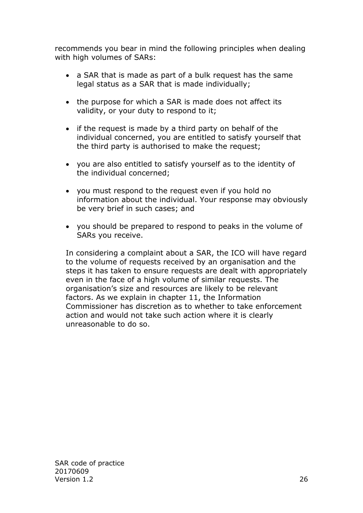recommends you bear in mind the following principles when dealing with high volumes of SARs:

- a SAR that is made as part of a bulk request has the same legal status as a SAR that is made individually;
- the purpose for which a SAR is made does not affect its validity, or your duty to respond to it;
- if the request is made by a third party on behalf of the individual concerned, you are entitled to satisfy yourself that the third party is authorised to make the request;
- you are also entitled to satisfy yourself as to the identity of the individual concerned;
- you must respond to the request even if you hold no information about the individual. Your response may obviously be very brief in such cases; and
- you should be prepared to respond to peaks in the volume of SARs you receive.

In considering a complaint about a SAR, the ICO will have regard to the volume of requests received by an organisation and the steps it has taken to ensure requests are dealt with appropriately even in the face of a high volume of similar requests. The organisation's size and resources are likely to be relevant factors. As we explain in chapter 11, the Information Commissioner has discretion as to whether to take enforcement action and would not take such action where it is clearly unreasonable to do so.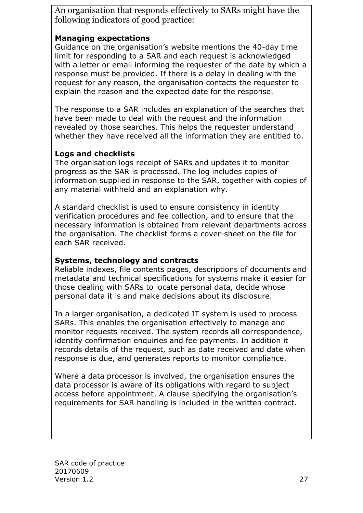An organisation that responds effectively to SARs might have the following indicators of good practice:

### **Managing expectations**

Guidance on the organisation's website mentions the 40-day time limit for responding to a SAR and each request is acknowledged with a letter or email informing the requester of the date by which a response must be provided. If there is a delay in dealing with the request for any reason, the organisation contacts the requester to explain the reason and the expected date for the response.

The response to a SAR includes an explanation of the searches that have been made to deal with the request and the information revealed by those searches. This helps the requester understand whether they have received all the information they are entitled to.

# **Logs and checklists**

The organisation logs receipt of SARs and updates it to monitor progress as the SAR is processed. The log includes copies of information supplied in response to the SAR, together with copies of any material withheld and an explanation why.

A standard checklist is used to ensure consistency in identity verification procedures and fee collection, and to ensure that the necessary information is obtained from relevant departments across the organisation. The checklist forms a cover-sheet on the file for each SAR received.

# **Systems, technology and contracts**

Reliable indexes, file contents pages, descriptions of documents and metadata and technical specifications for systems make it easier for those dealing with SARs to locate personal data, decide whose personal data it is and make decisions about its disclosure.

In a larger organisation, a dedicated IT system is used to process SARs. This enables the organisation effectively to manage and monitor requests received. The system records all correspondence, identity confirmation enquiries and fee payments. In addition it records details of the request, such as date received and date when response is due, and generates reports to monitor compliance.

Where a data processor is involved, the organisation ensures the data processor is aware of its obligations with regard to subject access before appointment. A clause specifying the organisation's requirements for SAR handling is included in the written contract.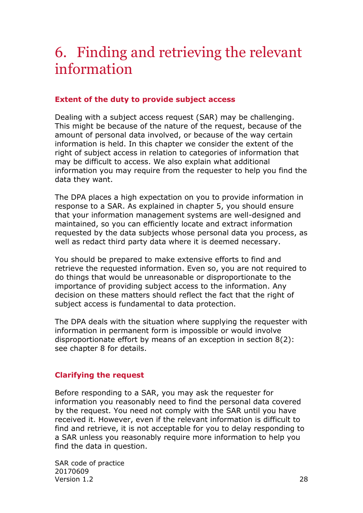# <span id="page-27-0"></span>6. Finding and retrieving the relevant information

## <span id="page-27-1"></span>**Extent of the duty to provide subject access**

Dealing with a subject access request (SAR) may be challenging. This might be because of the nature of the request, because of the amount of personal data involved, or because of the way certain information is held. In this chapter we consider the extent of the right of subject access in relation to categories of information that may be difficult to access. We also explain what additional information you may require from the requester to help you find the data they want.

The DPA places a high expectation on you to provide information in response to a SAR. As explained in chapter 5, you should ensure that your information management systems are well-designed and maintained, so you can efficiently locate and extract information requested by the data subjects whose personal data you process, as well as redact third party data where it is deemed necessary.

You should be prepared to make extensive efforts to find and retrieve the requested information. Even so, you are not required to do things that would be unreasonable or disproportionate to the importance of providing subject access to the information. Any decision on these matters should reflect the fact that the right of subject access is fundamental to data protection.

The DPA deals with the situation where supplying the requester with information in permanent form is impossible or would involve disproportionate effort by means of an exception in section 8(2): see chapter 8 for details.

# <span id="page-27-2"></span>**Clarifying the request**

Before responding to a SAR, you may ask the requester for information you reasonably need to find the personal data covered by the request. You need not comply with the SAR until you have received it. However, even if the relevant information is difficult to find and retrieve, it is not acceptable for you to delay responding to a SAR unless you reasonably require more information to help you find the data in question.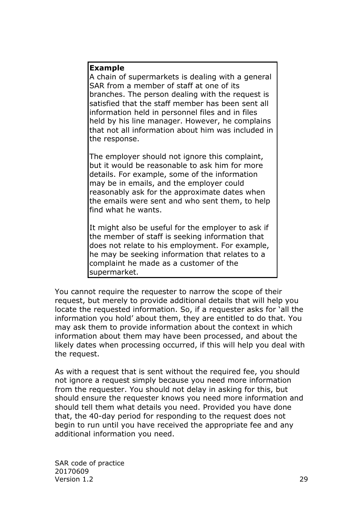#### **Example**

A chain of supermarkets is dealing with a general SAR from a member of staff at one of its branches. The person dealing with the request is satisfied that the staff member has been sent all information held in personnel files and in files held by his line manager. However, he complains that not all information about him was included in the response.

The employer should not ignore this complaint, but it would be reasonable to ask him for more details. For example, some of the information may be in emails, and the employer could reasonably ask for the approximate dates when the emails were sent and who sent them, to help find what he wants.

It might also be useful for the employer to ask if the member of staff is seeking information that does not relate to his employment. For example, he may be seeking information that relates to a complaint he made as a customer of the supermarket.

You cannot require the requester to narrow the scope of their request, but merely to provide additional details that will help you locate the requested information. So, if a requester asks for 'all the information you hold' about them, they are entitled to do that. You may ask them to provide information about the context in which information about them may have been processed, and about the likely dates when processing occurred, if this will help you deal with the request.

As with a request that is sent without the required fee, you should not ignore a request simply because you need more information from the requester. You should not delay in asking for this, but should ensure the requester knows you need more information and should tell them what details you need. Provided you have done that, the 40-day period for responding to the request does not begin to run until you have received the appropriate fee and any additional information you need.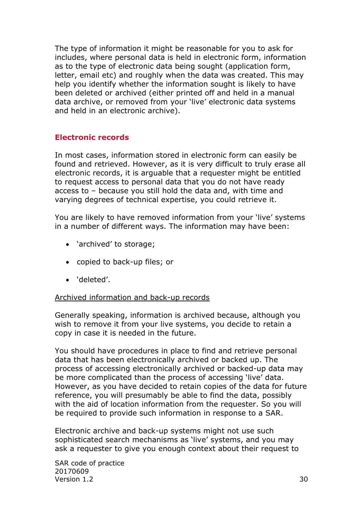The type of information it might be reasonable for you to ask for includes, where personal data is held in electronic form, information as to the type of electronic data being sought (application form, letter, email etc) and roughly when the data was created. This may help you identify whether the information sought is likely to have been deleted or archived (either printed off and held in a manual data archive, or removed from your 'live' electronic data systems and held in an electronic archive).

### <span id="page-29-0"></span>**Electronic records**

In most cases, information stored in electronic form can easily be found and retrieved. However, as it is very difficult to truly erase all electronic records, it is arguable that a requester might be entitled to request access to personal data that you do not have ready access to – because you still hold the data and, with time and varying degrees of technical expertise, you could retrieve it.

You are likely to have removed information from your 'live' systems in a number of different ways. The information may have been:

- 'archived' to storage;
- copied to back-up files; or
- 'deleted'.

#### <span id="page-29-1"></span>Archived information and back-up records

Generally speaking, information is archived because, although you wish to remove it from your live systems, you decide to retain a copy in case it is needed in the future.

You should have procedures in place to find and retrieve personal data that has been electronically archived or backed up. The process of accessing electronically archived or backed-up data may be more complicated than the process of accessing 'live' data. However, as you have decided to retain copies of the data for future reference, you will presumably be able to find the data, possibly with the aid of location information from the requester. So you will be required to provide such information in response to a SAR.

Electronic archive and back-up systems might not use such sophisticated search mechanisms as 'live' systems, and you may ask a requester to give you enough context about their request to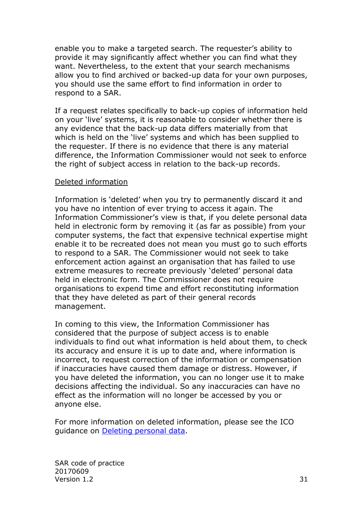enable you to make a targeted search. The requester's ability to provide it may significantly affect whether you can find what they want. Nevertheless, to the extent that your search mechanisms allow you to find archived or backed-up data for your own purposes, you should use the same effort to find information in order to respond to a SAR.

If a request relates specifically to back-up copies of information held on your 'live' systems, it is reasonable to consider whether there is any evidence that the back-up data differs materially from that which is held on the 'live' systems and which has been supplied to the requester. If there is no evidence that there is any material difference, the Information Commissioner would not seek to enforce the right of subject access in relation to the back-up records.

#### <span id="page-30-0"></span>Deleted information

Information is 'deleted' when you try to permanently discard it and you have no intention of ever trying to access it again. The Information Commissioner's view is that, if you delete personal data held in electronic form by removing it (as far as possible) from your computer systems, the fact that expensive technical expertise might enable it to be recreated does not mean you must go to such efforts to respond to a SAR. The Commissioner would not seek to take enforcement action against an organisation that has failed to use extreme measures to recreate previously 'deleted' personal data held in electronic form. The Commissioner does not require organisations to expend time and effort reconstituting information that they have deleted as part of their general records management.

In coming to this view, the Information Commissioner has considered that the purpose of subject access is to enable individuals to find out what information is held about them, to check its accuracy and ensure it is up to date and, where information is incorrect, to request correction of the information or compensation if inaccuracies have caused them damage or distress. However, if you have deleted the information, you can no longer use it to make decisions affecting the individual. So any inaccuracies can have no effect as the information will no longer be accessed by you or anyone else.

For more information on deleted information, please see the ICO guidance on [Deleting personal data.](https://ico.org.uk/media/for-organisations/documents/1475/deleting_personal_data.pdf)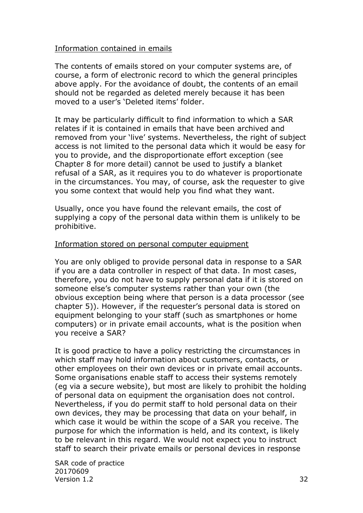#### <span id="page-31-0"></span>Information contained in emails

The contents of emails stored on your computer systems are, of course, a form of electronic record to which the general principles above apply. For the avoidance of doubt, the contents of an email should not be regarded as deleted merely because it has been moved to a user's 'Deleted items' folder.

It may be particularly difficult to find information to which a SAR relates if it is contained in emails that have been archived and removed from your 'live' systems. Nevertheless, the right of subject access is not limited to the personal data which it would be easy for you to provide, and the disproportionate effort exception (see Chapter 8 for more detail) cannot be used to justify a blanket refusal of a SAR, as it requires you to do whatever is proportionate in the circumstances. You may, of course, ask the requester to give you some context that would help you find what they want.

Usually, once you have found the relevant emails, the cost of supplying a copy of the personal data within them is unlikely to be prohibitive.

#### <span id="page-31-1"></span>Information stored on personal computer equipment

You are only obliged to provide personal data in response to a SAR if you are a data controller in respect of that data. In most cases, therefore, you do not have to supply personal data if it is stored on someone else's computer systems rather than your own (the obvious exception being where that person is a data processor (see chapter 5)). However, if the requester's personal data is stored on equipment belonging to your staff (such as smartphones or home computers) or in private email accounts, what is the position when you receive a SAR?

It is good practice to have a policy restricting the circumstances in which staff may hold information about customers, contacts, or other employees on their own devices or in private email accounts. Some organisations enable staff to access their systems remotely (eg via a secure website), but most are likely to prohibit the holding of personal data on equipment the organisation does not control. Nevertheless, if you do permit staff to hold personal data on their own devices, they may be processing that data on your behalf, in which case it would be within the scope of a SAR you receive. The purpose for which the information is held, and its context, is likely to be relevant in this regard. We would not expect you to instruct staff to search their private emails or personal devices in response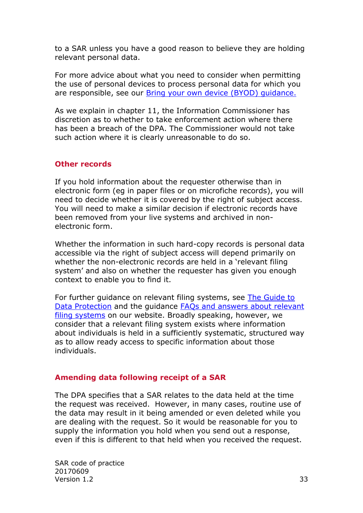to a SAR unless you have a good reason to believe they are holding relevant personal data.

For more advice about what you need to consider when permitting the use of personal devices to process personal data for which you are responsible, see our [Bring your own device \(BYOD\) guidance.](https://ico.org.uk/media/for-organisations/documents/1563/ico_bring_your_own_device_byod_guidance.pdf)

As we explain in chapter 11, the Information Commissioner has discretion as to whether to take enforcement action where there has been a breach of the DPA. The Commissioner would not take such action where it is clearly unreasonable to do so.

### <span id="page-32-0"></span>**Other records**

If you hold information about the requester otherwise than in electronic form (eg in paper files or on microfiche records), you will need to decide whether it is covered by the right of subject access. You will need to make a similar decision if electronic records have been removed from your live systems and archived in nonelectronic form.

Whether the information in such hard-copy records is personal data accessible via the right of subject access will depend primarily on whether the non-electronic records are held in a 'relevant filing system' and also on whether the requester has given you enough context to enable you to find it.

For further guidance on relevant filing systems, see The [Guide to](http://www.ico.org.uk/for_organisations/data_protection/the_guide)  [Data Protection](http://www.ico.org.uk/for_organisations/data_protection/the_guide) and the guidance [FAQs and answers about relevant](https://ico.org.uk/media/for-organisations/documents/1592/relevant_filing_systems_faqs.pdf)  [filing systems](https://ico.org.uk/media/for-organisations/documents/1592/relevant_filing_systems_faqs.pdf) on our website. Broadly speaking, however, we consider that a relevant filing system exists where information about individuals is held in a sufficiently systematic, structured way as to allow ready access to specific information about those individuals.

# <span id="page-32-1"></span>**Amending data following receipt of a SAR**

The DPA specifies that a SAR relates to the data held at the time the request was received. However, in many cases, routine use of the data may result in it being amended or even deleted while you are dealing with the request. So it would be reasonable for you to supply the information you hold when you send out a response, even if this is different to that held when you received the request.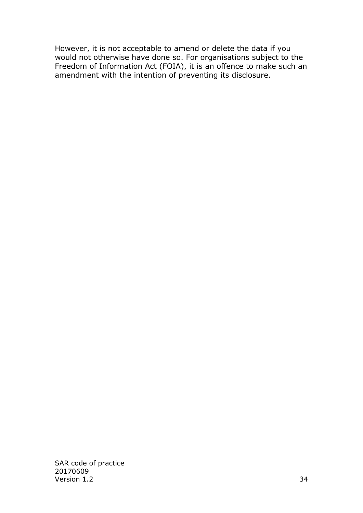However, it is not acceptable to amend or delete the data if you would not otherwise have done so. For organisations subject to the Freedom of Information Act (FOIA), it is an offence to make such an amendment with the intention of preventing its disclosure.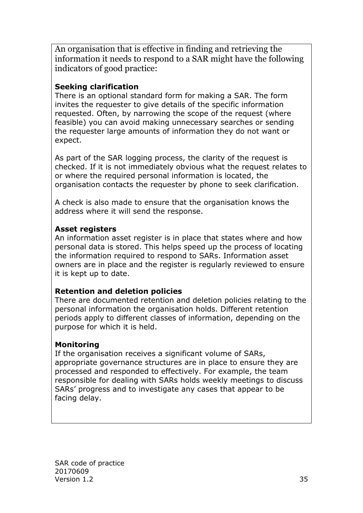An organisation that is effective in finding and retrieving the information it needs to respond to a SAR might have the following indicators of good practice:

# **Seeking clarification**

There is an optional standard form for making a SAR. The form invites the requester to give details of the specific information requested. Often, by narrowing the scope of the request (where feasible) you can avoid making unnecessary searches or sending the requester large amounts of information they do not want or expect.

As part of the SAR logging process, the clarity of the request is checked. If it is not immediately obvious what the request relates to or where the required personal information is located, the organisation contacts the requester by phone to seek clarification.

A check is also made to ensure that the organisation knows the address where it will send the response.

# **Asset registers**

An information asset register is in place that states where and how personal data is stored. This helps speed up the process of locating the information required to respond to SARs. Information asset owners are in place and the register is regularly reviewed to ensure it is kept up to date.

# **Retention and deletion policies**

There are documented retention and deletion policies relating to the personal information the organisation holds. Different retention periods apply to different classes of information, depending on the purpose for which it is held.

# **Monitoring**

If the organisation receives a significant volume of SARs, appropriate governance structures are in place to ensure they are processed and responded to effectively. For example, the team responsible for dealing with SARs holds weekly meetings to discuss SARs' progress and to investigate any cases that appear to be facing delay.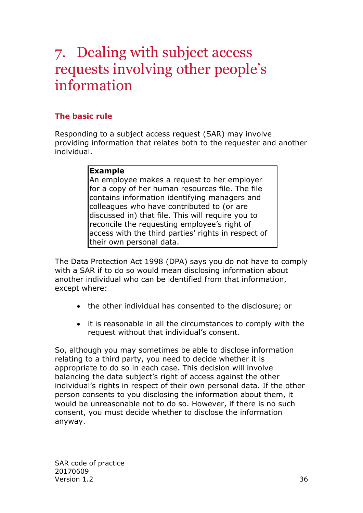# <span id="page-35-0"></span>7. Dealing with subject access requests involving other people's information

# <span id="page-35-1"></span>**The basic rule**

Responding to a subject access request (SAR) may involve providing information that relates both to the requester and another individual.

### **Example**

An employee makes a request to her employer for a copy of her human resources file. The file contains information identifying managers and colleagues who have contributed to (or are discussed in) that file. This will require you to reconcile the requesting employee's right of access with the third parties' rights in respect of their own personal data.

The Data Protection Act 1998 (DPA) says you do not have to comply with a SAR if to do so would mean disclosing information about another individual who can be identified from that information, except where:

- the other individual has consented to the disclosure; or
- it is reasonable in all the circumstances to comply with the request without that individual's consent.

So, although you may sometimes be able to disclose information relating to a third party, you need to decide whether it is appropriate to do so in each case. This decision will involve balancing the data subject's right of access against the other individual's rights in respect of their own personal data. If the other person consents to you disclosing the information about them, it would be unreasonable not to do so. However, if there is no such consent, you must decide whether to disclose the information anyway.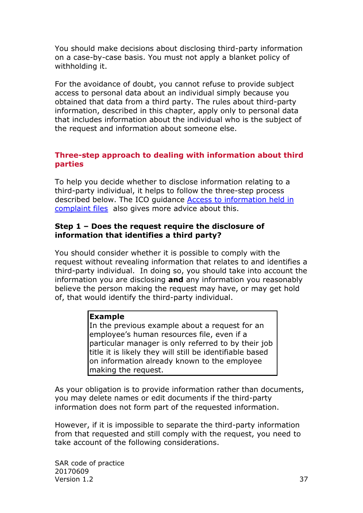You should make decisions about disclosing third-party information on a case-by-case basis. You must not apply a blanket policy of withholding it.

For the avoidance of doubt, you cannot refuse to provide subject access to personal data about an individual simply because you obtained that data from a third party. The rules about third-party information, described in this chapter, apply only to personal data that includes information about the individual who is the subject of the request and information about someone else.

## <span id="page-36-0"></span>**Three-step approach to dealing with information about third parties**

To help you decide whether to disclose information relating to a third-party individual, it helps to follow the three-step process described below. The ICO guidance [Access to information held in](https://ico.org.uk/media/for-organisations/documents/1179/access_to_information_held_in_complaint_files.pdf)  [complaint files](https://ico.org.uk/media/for-organisations/documents/1179/access_to_information_held_in_complaint_files.pdf) also gives more advice about this.

### **Step 1 – Does the request require the disclosure of information that identifies a third party?**

You should consider whether it is possible to comply with the request without revealing information that relates to and identifies a third-party individual. In doing so, you should take into account the information you are disclosing **and** any information you reasonably believe the person making the request may have, or may get hold of, that would identify the third-party individual.

#### **Example**

In the previous example about a request for an employee's human resources file, even if a particular manager is only referred to by their job title it is likely they will still be identifiable based on information already known to the employee making the request.

As your obligation is to provide information rather than documents, you may delete names or edit documents if the third-party information does not form part of the requested information.

However, if it is impossible to separate the third-party information from that requested and still comply with the request, you need to take account of the following considerations.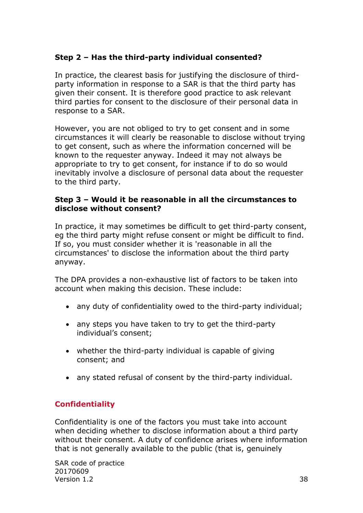# **Step 2 – Has the third-party individual consented?**

In practice, the clearest basis for justifying the disclosure of thirdparty information in response to a SAR is that the third party has given their consent. It is therefore good practice to ask relevant third parties for consent to the disclosure of their personal data in response to a SAR.

However, you are not obliged to try to get consent and in some circumstances it will clearly be reasonable to disclose without trying to get consent, such as where the information concerned will be known to the requester anyway. Indeed it may not always be appropriate to try to get consent, for instance if to do so would inevitably involve a disclosure of personal data about the requester to the third party.

### **Step 3 – Would it be reasonable in all the circumstances to disclose without consent?**

In practice, it may sometimes be difficult to get third-party consent, eg the third party might refuse consent or might be difficult to find. If so, you must consider whether it is 'reasonable in all the circumstances' to disclose the information about the third party anyway.

The DPA provides a non-exhaustive list of factors to be taken into account when making this decision. These include:

- any duty of confidentiality owed to the third-party individual;
- any steps you have taken to try to get the third-party individual's consent;
- whether the third-party individual is capable of giving consent; and
- any stated refusal of consent by the third-party individual.

# <span id="page-37-0"></span>**Confidentiality**

Confidentiality is one of the factors you must take into account when deciding whether to disclose information about a third party without their consent. A duty of confidence arises where information that is not generally available to the public (that is, genuinely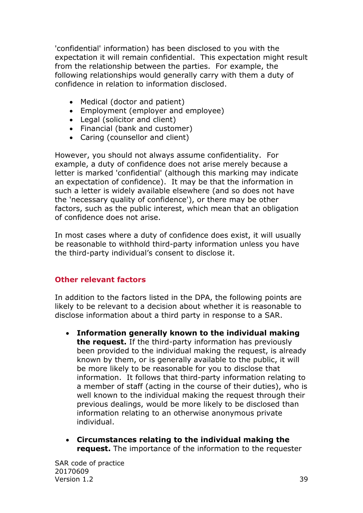'confidential' information) has been disclosed to you with the expectation it will remain confidential. This expectation might result from the relationship between the parties. For example, the following relationships would generally carry with them a duty of confidence in relation to information disclosed.

- Medical (doctor and patient)
- Employment (employer and employee)
- Legal (solicitor and client)
- Financial (bank and customer)
- Caring (counsellor and client)

However, you should not always assume confidentiality. For example, a duty of confidence does not arise merely because a letter is marked 'confidential' (although this marking may indicate an expectation of confidence). It may be that the information in such a letter is widely available elsewhere (and so does not have the 'necessary quality of confidence'), or there may be other factors, such as the public interest, which mean that an obligation of confidence does not arise.

In most cases where a duty of confidence does exist, it will usually be reasonable to withhold third-party information unless you have the third-party individual's consent to disclose it.

# <span id="page-38-0"></span>**Other relevant factors**

In addition to the factors listed in the DPA, the following points are likely to be relevant to a decision about whether it is reasonable to disclose information about a third party in response to a SAR.

- **Information generally known to the individual making the request.** If the third-party information has previously been provided to the individual making the request, is already known by them, or is generally available to the public, it will be more likely to be reasonable for you to disclose that information. It follows that third-party information relating to a member of staff (acting in the course of their duties), who is well known to the individual making the request through their previous dealings, would be more likely to be disclosed than information relating to an otherwise anonymous private individual.
- **Circumstances relating to the individual making the request.** The importance of the information to the requester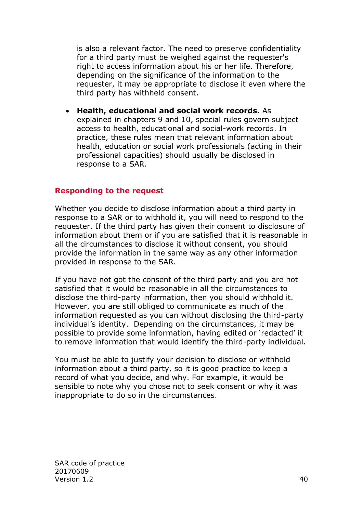is also a relevant factor. The need to preserve confidentiality for a third party must be weighed against the requester's right to access information about his or her life. Therefore, depending on the significance of the information to the requester, it may be appropriate to disclose it even where the third party has withheld consent.

 **Health, educational and social work records.** As explained in chapters 9 and 10, special rules govern subject access to health, educational and social-work records. In practice, these rules mean that relevant information about health, education or social work professionals (acting in their professional capacities) should usually be disclosed in response to a SAR.

#### <span id="page-39-0"></span>**Responding to the request**

Whether you decide to disclose information about a third party in response to a SAR or to withhold it, you will need to respond to the requester. If the third party has given their consent to disclosure of information about them or if you are satisfied that it is reasonable in all the circumstances to disclose it without consent, you should provide the information in the same way as any other information provided in response to the SAR.

If you have not got the consent of the third party and you are not satisfied that it would be reasonable in all the circumstances to disclose the third-party information, then you should withhold it. However, you are still obliged to communicate as much of the information requested as you can without disclosing the third-party individual's identity. Depending on the circumstances, it may be possible to provide some information, having edited or 'redacted' it to remove information that would identify the third-party individual.

You must be able to justify your decision to disclose or withhold information about a third party, so it is good practice to keep a record of what you decide, and why. For example, it would be sensible to note why you chose not to seek consent or why it was inappropriate to do so in the circumstances.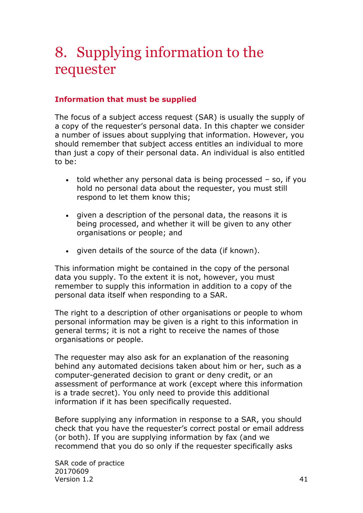# <span id="page-40-0"></span>8. Supplying information to the requester

# <span id="page-40-1"></span>**Information that must be supplied**

The focus of a subject access request (SAR) is usually the supply of a copy of the requester's personal data. In this chapter we consider a number of issues about supplying that information. However, you should remember that subject access entitles an individual to more than just a copy of their personal data. An individual is also entitled to be:

- told whether any personal data is being processed so, if you hold no personal data about the requester, you must still respond to let them know this;
- given a description of the personal data, the reasons it is being processed, and whether it will be given to any other organisations or people; and
- given details of the source of the data (if known).

This information might be contained in the copy of the personal data you supply. To the extent it is not, however, you must remember to supply this information in addition to a copy of the personal data itself when responding to a SAR.

The right to a description of other organisations or people to whom personal information may be given is a right to this information in general terms; it is not a right to receive the names of those organisations or people.

The requester may also ask for an explanation of the reasoning behind any automated decisions taken about him or her, such as a computer-generated decision to grant or deny credit, or an assessment of performance at work (except where this information is a trade secret). You only need to provide this additional information if it has been specifically requested.

Before supplying any information in response to a SAR, you should check that you have the requester's correct postal or email address (or both). If you are supplying information by fax (and we recommend that you do so only if the requester specifically asks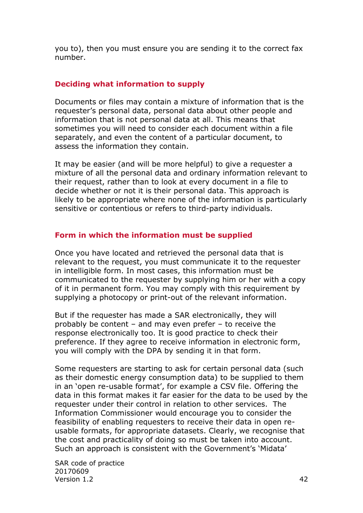you to), then you must ensure you are sending it to the correct fax number.

#### <span id="page-41-0"></span>**Deciding what information to supply**

Documents or files may contain a mixture of information that is the requester's personal data, personal data about other people and information that is not personal data at all. This means that sometimes you will need to consider each document within a file separately, and even the content of a particular document, to assess the information they contain.

It may be easier (and will be more helpful) to give a requester a mixture of all the personal data and ordinary information relevant to their request, rather than to look at every document in a file to decide whether or not it is their personal data. This approach is likely to be appropriate where none of the information is particularly sensitive or contentious or refers to third-party individuals.

### <span id="page-41-1"></span>**Form in which the information must be supplied**

Once you have located and retrieved the personal data that is relevant to the request, you must communicate it to the requester in intelligible form. In most cases, this information must be communicated to the requester by supplying him or her with a copy of it in permanent form. You may comply with this requirement by supplying a photocopy or print-out of the relevant information.

But if the requester has made a SAR electronically, they will probably be content – and may even prefer – to receive the response electronically too. It is good practice to check their preference. If they agree to receive information in electronic form, you will comply with the DPA by sending it in that form.

Some requesters are starting to ask for certain personal data (such as their domestic energy consumption data) to be supplied to them in an 'open re-usable format', for example a CSV file. Offering the data in this format makes it far easier for the data to be used by the requester under their control in relation to other services. The Information Commissioner would encourage you to consider the feasibility of enabling requesters to receive their data in open reusable formats, for appropriate datasets. Clearly, we recognise that the cost and practicality of doing so must be taken into account. Such an approach is consistent with the Government's 'Midata'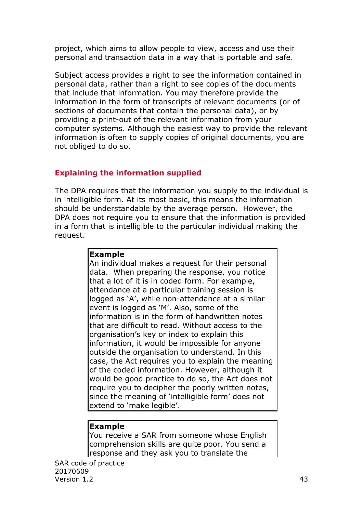project, which aims to allow people to view, access and use their personal and transaction data in a way that is portable and safe.

Subject access provides a right to see the information contained in personal data, rather than a right to see copies of the documents that include that information. You may therefore provide the information in the form of transcripts of relevant documents (or of sections of documents that contain the personal data), or by providing a print-out of the relevant information from your computer systems. Although the easiest way to provide the relevant information is often to supply copies of original documents, you are not obliged to do so.

# <span id="page-42-0"></span>**Explaining the information supplied**

The DPA requires that the information you supply to the individual is in intelligible form. At its most basic, this means the information should be understandable by the average person. However, the DPA does not require you to ensure that the information is provided in a form that is intelligible to the particular individual making the request.

#### **Example**

An individual makes a request for their personal data. When preparing the response, you notice that a lot of it is in coded form. For example, attendance at a particular training session is logged as 'A', while non-attendance at a similar event is logged as 'M'. Also, some of the information is in the form of handwritten notes that are difficult to read. Without access to the organisation's key or index to explain this information, it would be impossible for anyone outside the organisation to understand. In this case, the Act requires you to explain the meaning of the coded information. However, although it would be good practice to do so, the Act does not require you to decipher the poorly written notes, since the meaning of 'intelligible form' does not extend to 'make legible'.

#### **Example**

You receive a SAR from someone whose English comprehension skills are quite poor. You send a response and they ask you to translate the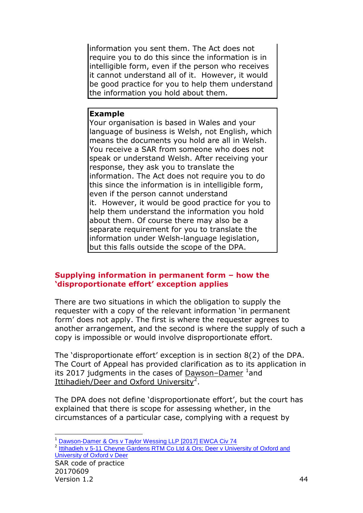information you sent them. The Act does not require you to do this since the information is in intelligible form, even if the person who receives it cannot understand all of it. However, it would be good practice for you to help them understand the information you hold about them.

#### **Example**

Your organisation is based in Wales and your language of business is Welsh, not English, which means the documents you hold are all in Welsh. You receive a SAR from someone who does not speak or understand Welsh. After receiving your response, they ask you to translate the information. The Act does not require you to do this since the information is in intelligible form, even if the person cannot understand it. However, it would be good practice for you to help them understand the information you hold about them. Of course there may also be a separate requirement for you to translate the information under Welsh-language legislation, but this falls outside the scope of the DPA.

# <span id="page-43-0"></span>**Supplying information in permanent form – how the 'disproportionate effort' exception applies**

There are two situations in which the obligation to supply the requester with a copy of the relevant information 'in permanent form' does not apply. The first is where the requester agrees to another arrangement, and the second is where the supply of such a copy is impossible or would involve disproportionate effort.

The 'disproportionate effort' exception is in section 8(2) of the DPA. The Court of Appeal has provided clarification as to its application in its 2017 judgments in the cases of Dawson-Damer <sup>1</sup>and Ittihadieh/Deer and Oxford University<sup>2</sup>.

The DPA does not define 'disproportionate effort', but the court has explained that there is scope for assessing whether, in the circumstances of a particular case, complying with a request by

SAR code of practice <sup>2</sup> [Ittihadieh v 5-11 Cheyne Gardens RTM Co Ltd & Ors; Deer v University of Oxford and](http://www.bailii.org/ew/cases/EWCA/Civ/2017/121.html) [University of Oxford v Deer](http://www.bailii.org/ew/cases/EWCA/Civ/2017/121.html)

<sup>-</sup><sup>1</sup> [Dawson-Damer & Ors v Taylor Wessing LLP \[2017\] EWCA Civ 74](http://www.bailii.org/ew/cases/EWCA/Civ/2017/74.html)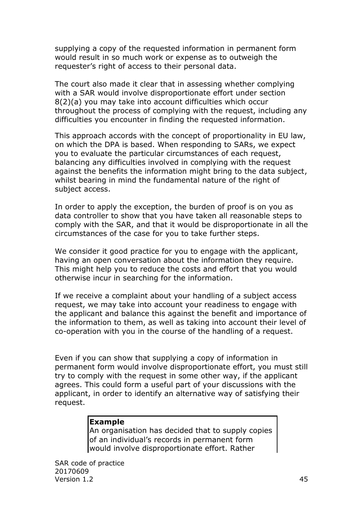supplying a copy of the requested information in permanent form would result in so much work or expense as to outweigh the requester's right of access to their personal data.

The court also made it clear that in assessing whether complying with a SAR would involve disproportionate effort under section 8(2)(a) you may take into account difficulties which occur throughout the process of complying with the request, including any difficulties you encounter in finding the requested information.

This approach accords with the concept of proportionality in EU law, on which the DPA is based. When responding to SARs, we expect you to evaluate the particular circumstances of each request, balancing any difficulties involved in complying with the request against the benefits the information might bring to the data subject, whilst bearing in mind the fundamental nature of the right of subject access.

In order to apply the exception, the burden of proof is on you as data controller to show that you have taken all reasonable steps to comply with the SAR, and that it would be disproportionate in all the circumstances of the case for you to take further steps.

We consider it good practice for you to engage with the applicant, having an open conversation about the information they require. This might help you to reduce the costs and effort that you would otherwise incur in searching for the information.

If we receive a complaint about your handling of a subject access request, we may take into account your readiness to engage with the applicant and balance this against the benefit and importance of the information to them, as well as taking into account their level of co-operation with you in the course of the handling of a request.

Even if you can show that supplying a copy of information in permanent form would involve disproportionate effort, you must still try to comply with the request in some other way, if the applicant agrees. This could form a useful part of your discussions with the applicant, in order to identify an alternative way of satisfying their request.

#### **Example**

An organisation has decided that to supply copies of an individual's records in permanent form would involve disproportionate effort. Rather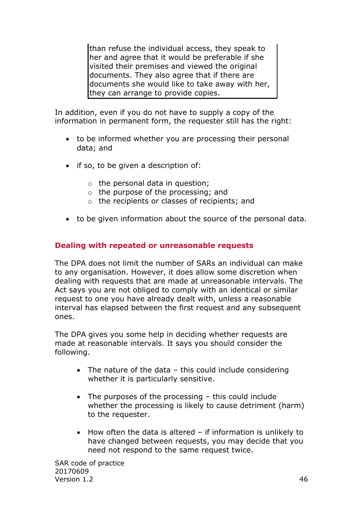than refuse the individual access, they speak to her and agree that it would be preferable if she visited their premises and viewed the original documents. They also agree that if there are documents she would like to take away with her, they can arrange to provide copies.

In addition, even if you do not have to supply a copy of the information in permanent form, the requester still has the right:

- to be informed whether you are processing their personal data; and
- if so, to be given a description of:
	- $\circ$  the personal data in question;
	- o the purpose of the processing; and
	- o the recipients or classes of recipients; and
- to be given information about the source of the personal data.

### <span id="page-45-0"></span>**Dealing with repeated or unreasonable requests**

The DPA does not limit the number of SARs an individual can make to any organisation. However, it does allow some discretion when dealing with requests that are made at unreasonable intervals. The Act says you are not obliged to comply with an identical or similar request to one you have already dealt with, unless a reasonable interval has elapsed between the first request and any subsequent ones.

The DPA gives you some help in deciding whether requests are made at reasonable intervals. It says you should consider the following.

- The nature of the data this could include considering whether it is particularly sensitive.
- The purposes of the processing this could include whether the processing is likely to cause detriment (harm) to the requester.
- $\bullet$  How often the data is altered if information is unlikely to have changed between requests, you may decide that you need not respond to the same request twice.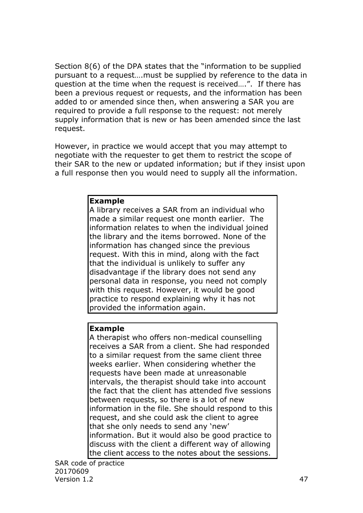Section 8(6) of the DPA states that the "information to be supplied pursuant to a request….must be supplied by reference to the data in question at the time when the request is received….". If there has been a previous request or requests, and the information has been added to or amended since then, when answering a SAR you are required to provide a full response to the request: not merely supply information that is new or has been amended since the last request.

However, in practice we would accept that you may attempt to negotiate with the requester to get them to restrict the scope of their SAR to the new or updated information; but if they insist upon a full response then you would need to supply all the information.

#### **Example**

A library receives a SAR from an individual who made a similar request one month earlier. The information relates to when the individual joined the library and the items borrowed. None of the information has changed since the previous request. With this in mind, along with the fact that the individual is unlikely to suffer any disadvantage if the library does not send any personal data in response, you need not comply with this request. However, it would be good practice to respond explaining why it has not provided the information again.

#### **Example**

A therapist who offers non-medical counselling receives a SAR from a client. She had responded to a similar request from the same client three weeks earlier. When considering whether the requests have been made at unreasonable intervals, the therapist should take into account the fact that the client has attended five sessions between requests, so there is a lot of new information in the file. She should respond to this request, and she could ask the client to agree that she only needs to send any 'new' information. But it would also be good practice to discuss with the client a different way of allowing the client access to the notes about the sessions.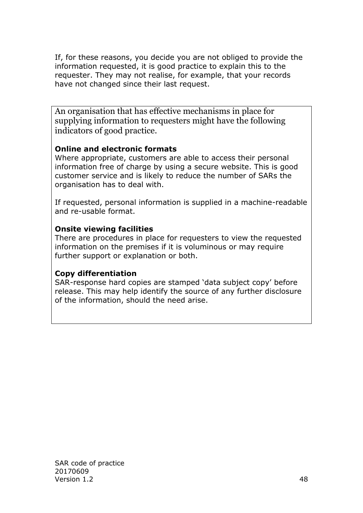If, for these reasons, you decide you are not obliged to provide the information requested, it is good practice to explain this to the requester. They may not realise, for example, that your records have not changed since their last request.

An organisation that has effective mechanisms in place for supplying information to requesters might have the following indicators of good practice.

# **Online and electronic formats**

Where appropriate, customers are able to access their personal information free of charge by using a secure website. This is good customer service and is likely to reduce the number of SARs the organisation has to deal with.

If requested, personal information is supplied in a machine-readable and re-usable format.

### **Onsite viewing facilities**

There are procedures in place for requesters to view the requested information on the premises if it is voluminous or may require further support or explanation or both.

# **Copy differentiation**

SAR-response hard copies are stamped 'data subject copy' before release. This may help identify the source of any further disclosure of the information, should the need arise.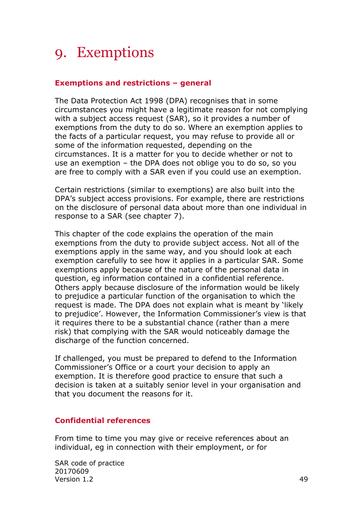# <span id="page-48-0"></span>9. Exemptions

### <span id="page-48-1"></span>**Exemptions and restrictions – general**

The Data Protection Act 1998 (DPA) recognises that in some circumstances you might have a legitimate reason for not complying with a subject access request (SAR), so it provides a number of exemptions from the duty to do so. Where an exemption applies to the facts of a particular request, you may refuse to provide all or some of the information requested, depending on the circumstances. It is a matter for you to decide whether or not to use an exemption – the DPA does not oblige you to do so, so you are free to comply with a SAR even if you could use an exemption.

Certain restrictions (similar to exemptions) are also built into the DPA's subject access provisions. For example, there are restrictions on the disclosure of personal data about more than one individual in response to a SAR (see chapter 7).

This chapter of the code explains the operation of the main exemptions from the duty to provide subject access. Not all of the exemptions apply in the same way, and you should look at each exemption carefully to see how it applies in a particular SAR. Some exemptions apply because of the nature of the personal data in question, eg information contained in a confidential reference. Others apply because disclosure of the information would be likely to prejudice a particular function of the organisation to which the request is made. The DPA does not explain what is meant by 'likely to prejudice'. However, the Information Commissioner's view is that it requires there to be a substantial chance (rather than a mere risk) that complying with the SAR would noticeably damage the discharge of the function concerned.

If challenged, you must be prepared to defend to the Information Commissioner's Office or a court your decision to apply an exemption. It is therefore good practice to ensure that such a decision is taken at a suitably senior level in your organisation and that you document the reasons for it.

#### <span id="page-48-2"></span>**Confidential references**

From time to time you may give or receive references about an individual, eg in connection with their employment, or for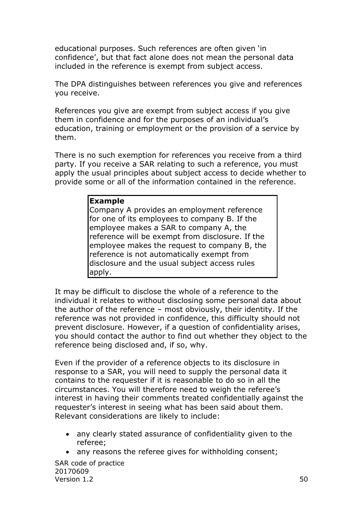educational purposes. Such references are often given 'in confidence', but that fact alone does not mean the personal data included in the reference is exempt from subject access.

The DPA distinguishes between references you give and references you receive.

References you give are exempt from subject access if you give them in confidence and for the purposes of an individual's education, training or employment or the provision of a service by them.

There is no such exemption for references you receive from a third party. If you receive a SAR relating to such a reference, you must apply the usual principles about subject access to decide whether to provide some or all of the information contained in the reference.

### **Example**

Company A provides an employment reference for one of its employees to company B. If the employee makes a SAR to company A, the reference will be exempt from disclosure. If the employee makes the request to company B, the reference is not automatically exempt from disclosure and the usual subject access rules apply.

It may be difficult to disclose the whole of a reference to the individual it relates to without disclosing some personal data about the author of the reference – most obviously, their identity. If the reference was not provided in confidence, this difficulty should not prevent disclosure. However, if a question of confidentiality arises, you should contact the author to find out whether they object to the reference being disclosed and, if so, why.

Even if the provider of a reference objects to its disclosure in response to a SAR, you will need to supply the personal data it contains to the requester if it is reasonable to do so in all the circumstances. You will therefore need to weigh the referee's interest in having their comments treated confidentially against the requester's interest in seeing what has been said about them. Relevant considerations are likely to include:

- any clearly stated assurance of confidentiality given to the referee;
- any reasons the referee gives for withholding consent;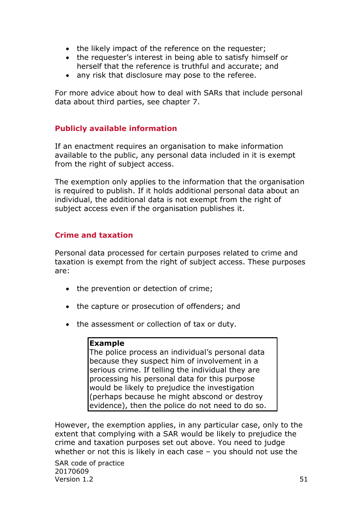- the likely impact of the reference on the requester;
- the requester's interest in being able to satisfy himself or herself that the reference is truthful and accurate; and
- any risk that disclosure may pose to the referee.

For more advice about how to deal with SARs that include personal data about third parties, see chapter 7.

# <span id="page-50-0"></span>**Publicly available information**

If an enactment requires an organisation to make information available to the public, any personal data included in it is exempt from the right of subject access.

The exemption only applies to the information that the organisation is required to publish. If it holds additional personal data about an individual, the additional data is not exempt from the right of subject access even if the organisation publishes it.

# <span id="page-50-1"></span>**Crime and taxation**

Personal data processed for certain purposes related to crime and taxation is exempt from the right of subject access. These purposes are:

- the prevention or detection of crime;
- the capture or prosecution of offenders; and
- the assessment or collection of tax or duty.

#### **Example**

The police process an individual's personal data because they suspect him of involvement in a serious crime. If telling the individual they are processing his personal data for this purpose would be likely to prejudice the investigation (perhaps because he might abscond or destroy evidence), then the police do not need to do so.

However, the exemption applies, in any particular case, only to the extent that complying with a SAR would be likely to prejudice the crime and taxation purposes set out above. You need to judge whether or not this is likely in each case – you should not use the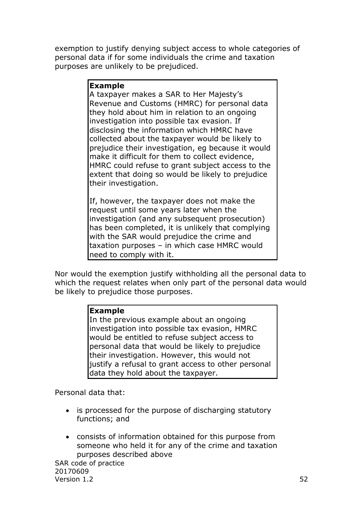exemption to justify denying subject access to whole categories of personal data if for some individuals the crime and taxation purposes are unlikely to be prejudiced.

#### **Example**

A taxpayer makes a SAR to Her Majesty's Revenue and Customs (HMRC) for personal data they hold about him in relation to an ongoing investigation into possible tax evasion. If disclosing the information which HMRC have collected about the taxpayer would be likely to prejudice their investigation, eg because it would make it difficult for them to collect evidence, HMRC could refuse to grant subject access to the extent that doing so would be likely to prejudice their investigation.

If, however, the taxpayer does not make the request until some years later when the investigation (and any subsequent prosecution) has been completed, it is unlikely that complying with the SAR would prejudice the crime and taxation purposes – in which case HMRC would need to comply with it.

Nor would the exemption justify withholding all the personal data to which the request relates when only part of the personal data would be likely to prejudice those purposes.

#### **Example**

In the previous example about an ongoing investigation into possible tax evasion, HMRC would be entitled to refuse subject access to personal data that would be likely to prejudice their investigation. However, this would not liustify a refusal to grant access to other personal data they hold about the taxpayer.

Personal data that:

- is processed for the purpose of discharging statutory functions; and
- consists of information obtained for this purpose from someone who held it for any of the crime and taxation purposes described above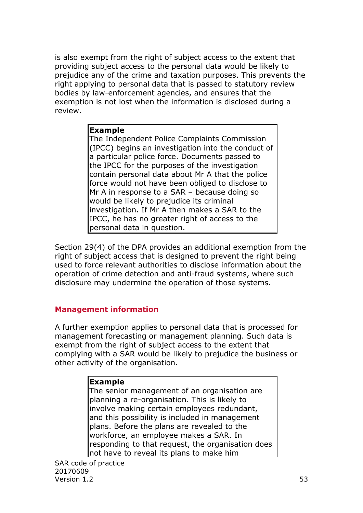is also exempt from the right of subject access to the extent that providing subject access to the personal data would be likely to prejudice any of the crime and taxation purposes. This prevents the right applying to personal data that is passed to statutory review bodies by law-enforcement agencies, and ensures that the exemption is not lost when the information is disclosed during a review.

#### **Example**

The Independent Police Complaints Commission (IPCC) begins an investigation into the conduct of a particular police force. Documents passed to the IPCC for the purposes of the investigation contain personal data about Mr A that the police force would not have been obliged to disclose to Mr A in response to a SAR – because doing so would be likely to prejudice its criminal investigation. If Mr A then makes a SAR to the IPCC, he has no greater right of access to the personal data in question.

Section 29(4) of the DPA provides an additional exemption from the right of subject access that is designed to prevent the right being used to force relevant authorities to disclose information about the operation of crime detection and anti-fraud systems, where such disclosure may undermine the operation of those systems.

# <span id="page-52-0"></span>**Management information**

A further exemption applies to personal data that is processed for management forecasting or management planning. Such data is exempt from the right of subject access to the extent that complying with a SAR would be likely to prejudice the business or other activity of the organisation.

#### **Example**

The senior management of an organisation are planning a re-organisation. This is likely to involve making certain employees redundant, and this possibility is included in management plans. Before the plans are revealed to the workforce, an employee makes a SAR. In responding to that request, the organisation does not have to reveal its plans to make him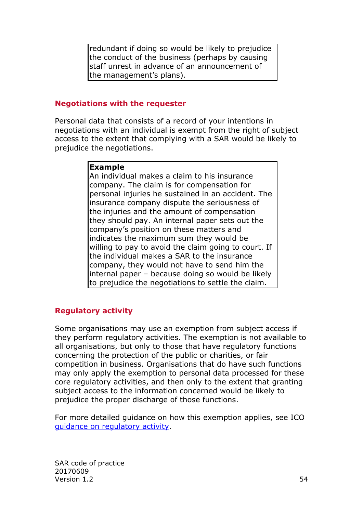redundant if doing so would be likely to prejudice the conduct of the business (perhaps by causing staff unrest in advance of an announcement of the management's plans).

#### <span id="page-53-0"></span>**Negotiations with the requester**

Personal data that consists of a record of your intentions in negotiations with an individual is exempt from the right of subject access to the extent that complying with a SAR would be likely to prejudice the negotiations.

#### **Example**

An individual makes a claim to his insurance company. The claim is for compensation for personal injuries he sustained in an accident. The insurance company dispute the seriousness of the injuries and the amount of compensation they should pay. An internal paper sets out the company's position on these matters and indicates the maximum sum they would be willing to pay to avoid the claim going to court. If the individual makes a SAR to the insurance company, they would not have to send him the internal paper – because doing so would be likely to prejudice the negotiations to settle the claim.

# <span id="page-53-1"></span>**Regulatory activity**

Some organisations may use an exemption from subject access if they perform regulatory activities. The exemption is not available to all organisations, but only to those that have regulatory functions concerning the protection of the public or charities, or fair competition in business. Organisations that do have such functions may only apply the exemption to personal data processed for these core regulatory activities, and then only to the extent that granting subject access to the information concerned would be likely to prejudice the proper discharge of those functions.

For more detailed guidance on how this exemption applies, see ICO [guidance on regulatory activity.](https://ico.org.uk/media/for-organisations/documents/1597/regulatory_activity_exemption_section_31_guidance.pdf)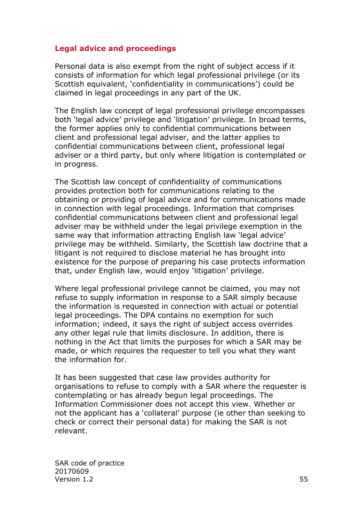#### <span id="page-54-0"></span>**Legal advice and proceedings**

Personal data is also exempt from the right of subject access if it consists of information for which legal professional privilege (or its Scottish equivalent, 'confidentiality in communications') could be claimed in legal proceedings in any part of the UK.

The English law concept of legal professional privilege encompasses both 'legal advice' privilege and 'litigation' privilege. In broad terms, the former applies only to confidential communications between client and professional legal adviser, and the latter applies to confidential communications between client, professional legal adviser or a third party, but only where litigation is contemplated or in progress.

The Scottish law concept of confidentiality of communications provides protection both for communications relating to the obtaining or providing of legal advice and for communications made in connection with legal proceedings. Information that comprises confidential communications between client and professional legal adviser may be withheld under the legal privilege exemption in the same way that information attracting English law 'legal advice' privilege may be withheld. Similarly, the Scottish law doctrine that a litigant is not required to disclose material he has brought into existence for the purpose of preparing his case protects information that, under English law, would enjoy 'litigation' privilege.

Where legal professional privilege cannot be claimed, you may not refuse to supply information in response to a SAR simply because the information is requested in connection with actual or potential legal proceedings. The DPA contains no exemption for such information; indeed, it says the right of subject access overrides any other legal rule that limits disclosure. In addition, there is nothing in the Act that limits the purposes for which a SAR may be made, or which requires the requester to tell you what they want the information for.

It has been suggested that case law provides authority for organisations to refuse to comply with a SAR where the requester is contemplating or has already begun legal proceedings. The Information Commissioner does not accept this view. Whether or not the applicant has a 'collateral' purpose (ie other than seeking to check or correct their personal data) for making the SAR is not relevant.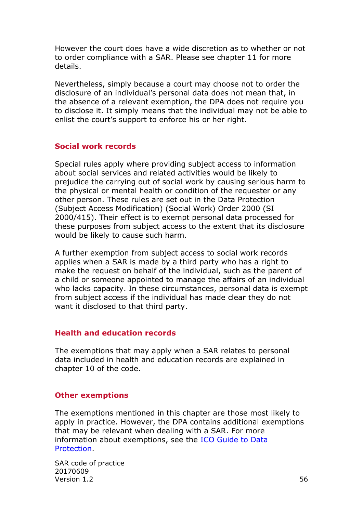However the court does have a wide discretion as to whether or not to order compliance with a SAR. Please see chapter 11 for more details.

Nevertheless, simply because a court may choose not to order the disclosure of an individual's personal data does not mean that, in the absence of a relevant exemption, the DPA does not require you to disclose it. It simply means that the individual may not be able to enlist the court's support to enforce his or her right.

#### <span id="page-55-0"></span>**Social work records**

Special rules apply where providing subject access to information about social services and related activities would be likely to prejudice the carrying out of social work by causing serious harm to the physical or mental health or condition of the requester or any other person. These rules are set out in the Data Protection (Subject Access Modification) (Social Work) Order 2000 (SI 2000/415). Their effect is to exempt personal data processed for these purposes from subject access to the extent that its disclosure would be likely to cause such harm.

A further exemption from subject access to social work records applies when a SAR is made by a third party who has a right to make the request on behalf of the individual, such as the parent of a child or someone appointed to manage the affairs of an individual who lacks capacity. In these circumstances, personal data is exempt from subject access if the individual has made clear they do not want it disclosed to that third party.

#### <span id="page-55-1"></span>**Health and education records**

The exemptions that may apply when a SAR relates to personal data included in health and education records are explained in chapter 10 of the code.

#### <span id="page-55-2"></span>**Other exemptions**

The exemptions mentioned in this chapter are those most likely to apply in practice. However, the DPA contains additional exemptions that may be relevant when dealing with a SAR. For more information about exemptions, see the [ICO Guide to Data](https://ico.org.uk/for-organisations/guide-to-data-protection/)  [Protection.](https://ico.org.uk/for-organisations/guide-to-data-protection/)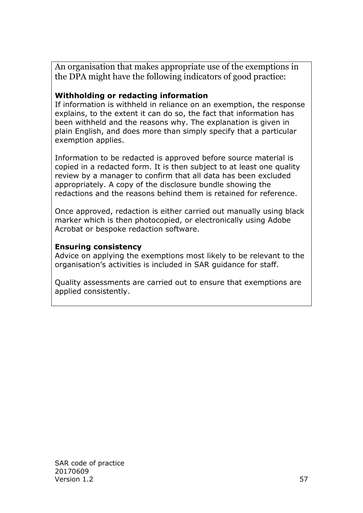An organisation that makes appropriate use of the exemptions in the DPA might have the following indicators of good practice:

## **Withholding or redacting information**

If information is withheld in reliance on an exemption, the response explains, to the extent it can do so, the fact that information has been withheld and the reasons why. The explanation is given in plain English, and does more than simply specify that a particular exemption applies.

Information to be redacted is approved before source material is copied in a redacted form. It is then subject to at least one quality review by a manager to confirm that all data has been excluded appropriately. A copy of the disclosure bundle showing the redactions and the reasons behind them is retained for reference.

Once approved, redaction is either carried out manually using black marker which is then photocopied, or electronically using Adobe Acrobat or bespoke redaction software.

#### **Ensuring consistency**

Advice on applying the exemptions most likely to be relevant to the organisation's activities is included in SAR guidance for staff.

Quality assessments are carried out to ensure that exemptions are applied consistently.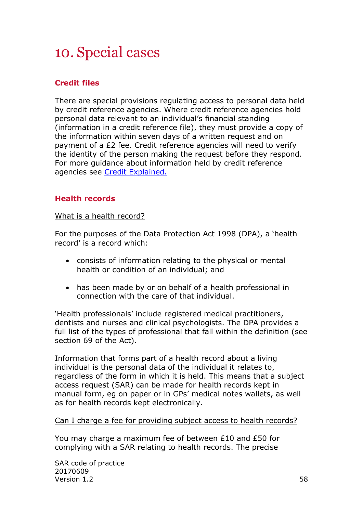# <span id="page-57-0"></span>10. Special cases

# <span id="page-57-1"></span>**Credit files**

There are special provisions regulating access to personal data held by credit reference agencies. Where credit reference agencies hold personal data relevant to an individual's financial standing (information in a credit reference file), they must provide a copy of the information within seven days of a written request and on payment of a £2 fee. Credit reference agencies will need to verify the identity of the person making the request before they respond. For more guidance about information held by credit reference agencies see [Credit Explained.](https://ico.org.uk/media/for-the-public/documents/1282/credit-explained-dp-guidance.pdf)

# <span id="page-57-2"></span>**Health records**

What is a health record?

For the purposes of the Data Protection Act 1998 (DPA), a 'health record' is a record which:

- consists of information relating to the physical or mental health or condition of an individual; and
- has been made by or on behalf of a health professional in connection with the care of that individual.

'Health professionals' include registered medical practitioners, dentists and nurses and clinical psychologists. The DPA provides a full list of the types of professional that fall within the definition (see section 69 of the Act).

Information that forms part of a health record about a living individual is the personal data of the individual it relates to, regardless of the form in which it is held. This means that a subject access request (SAR) can be made for health records kept in manual form, eg on paper or in GPs' medical notes wallets, as well as for health records kept electronically.

Can I charge a fee for providing subject access to health records?

You may charge a maximum fee of between £10 and £50 for complying with a SAR relating to health records. The precise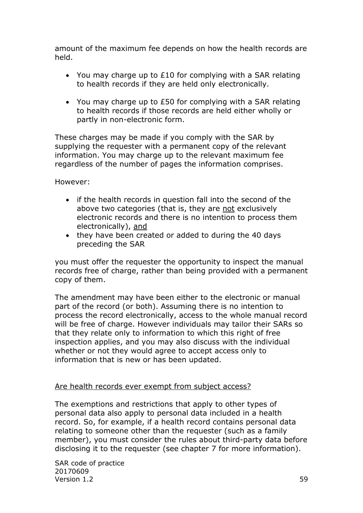amount of the maximum fee depends on how the health records are held.

- You may charge up to  $£10$  for complying with a SAR relating to health records if they are held only electronically.
- You may charge up to £50 for complying with a SAR relating to health records if those records are held either wholly or partly in non-electronic form.

These charges may be made if you comply with the SAR by supplying the requester with a permanent copy of the relevant information. You may charge up to the relevant maximum fee regardless of the number of pages the information comprises.

However:

- if the health records in question fall into the second of the above two categories (that is, they are not exclusively electronic records and there is no intention to process them electronically), and
- they have been created or added to during the 40 days preceding the SAR

you must offer the requester the opportunity to inspect the manual records free of charge, rather than being provided with a permanent copy of them.

The amendment may have been either to the electronic or manual part of the record (or both). Assuming there is no intention to process the record electronically, access to the whole manual record will be free of charge. However individuals may tailor their SARs so that they relate only to information to which this right of free inspection applies, and you may also discuss with the individual whether or not they would agree to accept access only to information that is new or has been updated.

#### Are health records ever exempt from subject access?

The exemptions and restrictions that apply to other types of personal data also apply to personal data included in a health record. So, for example, if a health record contains personal data relating to someone other than the requester (such as a family member), you must consider the rules about third-party data before disclosing it to the requester (see chapter 7 for more information).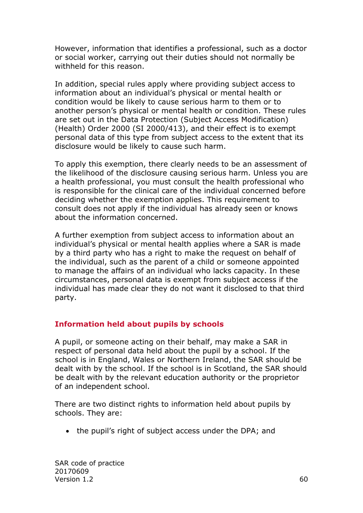However, information that identifies a professional, such as a doctor or social worker, carrying out their duties should not normally be withheld for this reason.

In addition, special rules apply where providing subject access to information about an individual's physical or mental health or condition would be likely to cause serious harm to them or to another person's physical or mental health or condition. These rules are set out in the Data Protection (Subject Access Modification) (Health) Order 2000 (SI 2000/413), and their effect is to exempt personal data of this type from subject access to the extent that its disclosure would be likely to cause such harm.

To apply this exemption, there clearly needs to be an assessment of the likelihood of the disclosure causing serious harm. Unless you are a health professional, you must consult the health professional who is responsible for the clinical care of the individual concerned before deciding whether the exemption applies. This requirement to consult does not apply if the individual has already seen or knows about the information concerned.

A further exemption from subject access to information about an individual's physical or mental health applies where a SAR is made by a third party who has a right to make the request on behalf of the individual, such as the parent of a child or someone appointed to manage the affairs of an individual who lacks capacity. In these circumstances, personal data is exempt from subject access if the individual has made clear they do not want it disclosed to that third party.

# <span id="page-59-0"></span>**Information held about pupils by schools**

A pupil, or someone acting on their behalf, may make a SAR in respect of personal data held about the pupil by a school. If the school is in England, Wales or Northern Ireland, the SAR should be dealt with by the school. If the school is in Scotland, the SAR should be dealt with by the relevant education authority or the proprietor of an independent school.

There are two distinct rights to information held about pupils by schools. They are:

• the pupil's right of subject access under the DPA; and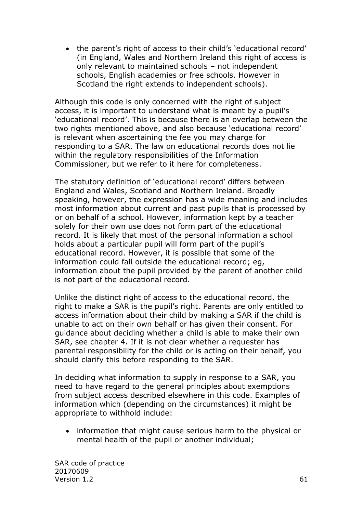• the parent's right of access to their child's 'educational record' (in England, Wales and Northern Ireland this right of access is only relevant to maintained schools – not independent schools, English academies or free schools. However in Scotland the right extends to independent schools).

Although this code is only concerned with the right of subject access, it is important to understand what is meant by a pupil's 'educational record'. This is because there is an overlap between the two rights mentioned above, and also because 'educational record' is relevant when ascertaining the fee you may charge for responding to a SAR. The law on educational records does not lie within the regulatory responsibilities of the Information Commissioner, but we refer to it here for completeness.

The statutory definition of 'educational record' differs between England and Wales, Scotland and Northern Ireland. Broadly speaking, however, the expression has a wide meaning and includes most information about current and past pupils that is processed by or on behalf of a school. However, information kept by a teacher solely for their own use does not form part of the educational record. It is likely that most of the personal information a school holds about a particular pupil will form part of the pupil's educational record. However, it is possible that some of the information could fall outside the educational record; eg, information about the pupil provided by the parent of another child is not part of the educational record.

Unlike the distinct right of access to the educational record, the right to make a SAR is the pupil's right. Parents are only entitled to access information about their child by making a SAR if the child is unable to act on their own behalf or has given their consent. For guidance about deciding whether a child is able to make their own SAR, see chapter 4. If it is not clear whether a requester has parental responsibility for the child or is acting on their behalf, you should clarify this before responding to the SAR.

In deciding what information to supply in response to a SAR, you need to have regard to the general principles about exemptions from subject access described elsewhere in this code. Examples of information which (depending on the circumstances) it might be appropriate to withhold include:

• information that might cause serious harm to the physical or mental health of the pupil or another individual;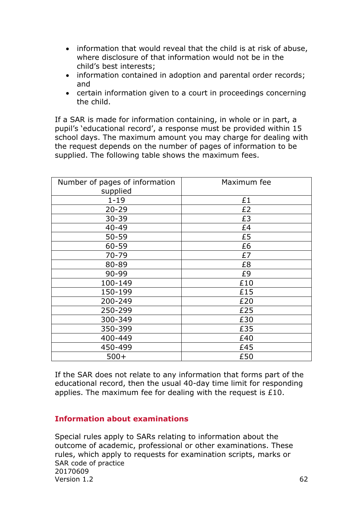- information that would reveal that the child is at risk of abuse, where disclosure of that information would not be in the child's best interests;
- information contained in adoption and parental order records; and
- certain information given to a court in proceedings concerning the child.

If a SAR is made for information containing, in whole or in part, a pupil's 'educational record', a response must be provided within 15 school days. The maximum amount you may charge for dealing with the request depends on the number of pages of information to be supplied. The following table shows the maximum fees.

| Number of pages of information<br>supplied | Maximum fee |
|--------------------------------------------|-------------|
| $1 - 19$                                   | £1          |
| $20 - 29$                                  | £2          |
| 30-39                                      | £3          |
| $40 - 49$                                  | £4          |
| $50 - 59$                                  | £5          |
| 60-59                                      | £6          |
| 70-79                                      | £7          |
| 80-89                                      | £8          |
| 90-99                                      | £9          |
| 100-149                                    | £10         |
| 150-199                                    | £15         |
| 200-249                                    | £20         |
| 250-299                                    | £25         |
| 300-349                                    | £30         |
| 350-399                                    | £35         |
| 400-449                                    | £40         |
| 450-499                                    | £45         |
| $500+$                                     | £50         |

If the SAR does not relate to any information that forms part of the educational record, then the usual 40-day time limit for responding applies. The maximum fee for dealing with the request is £10.

#### <span id="page-61-0"></span>**Information about examinations**

SAR code of practice 20170609  $Version$  1.2 62 Special rules apply to SARs relating to information about the outcome of academic, professional or other examinations. These rules, which apply to requests for examination scripts, marks or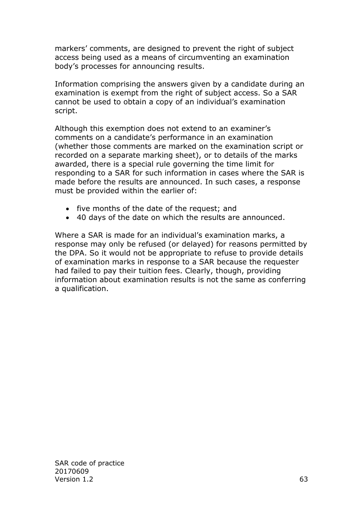markers' comments, are designed to prevent the right of subject access being used as a means of circumventing an examination body's processes for announcing results.

Information comprising the answers given by a candidate during an examination is exempt from the right of subject access. So a SAR cannot be used to obtain a copy of an individual's examination script.

Although this exemption does not extend to an examiner's comments on a candidate's performance in an examination (whether those comments are marked on the examination script or recorded on a separate marking sheet), or to details of the marks awarded, there is a special rule governing the time limit for responding to a SAR for such information in cases where the SAR is made before the results are announced. In such cases, a response must be provided within the earlier of:

- five months of the date of the request; and
- 40 days of the date on which the results are announced.

Where a SAR is made for an individual's examination marks, a response may only be refused (or delayed) for reasons permitted by the DPA. So it would not be appropriate to refuse to provide details of examination marks in response to a SAR because the requester had failed to pay their tuition fees. Clearly, though, providing information about examination results is not the same as conferring a qualification.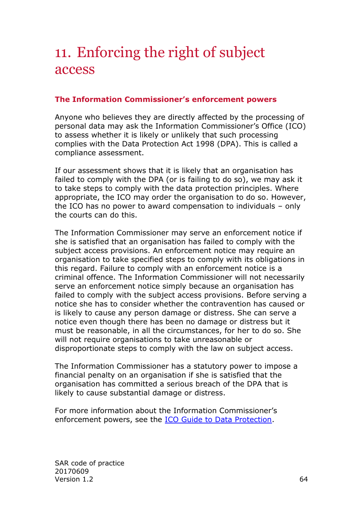# <span id="page-63-0"></span>11. Enforcing the right of subject access

## <span id="page-63-1"></span>**The Information Commissioner's enforcement powers**

Anyone who believes they are directly affected by the processing of personal data may ask the Information Commissioner's Office (ICO) to assess whether it is likely or unlikely that such processing complies with the Data Protection Act 1998 (DPA). This is called a compliance assessment.

If our assessment shows that it is likely that an organisation has failed to comply with the DPA (or is failing to do so), we may ask it to take steps to comply with the data protection principles. Where appropriate, the ICO may order the organisation to do so. However, the ICO has no power to award compensation to individuals – only the courts can do this.

The Information Commissioner may serve an enforcement notice if she is satisfied that an organisation has failed to comply with the subject access provisions. An enforcement notice may require an organisation to take specified steps to comply with its obligations in this regard. Failure to comply with an enforcement notice is a criminal offence. The Information Commissioner will not necessarily serve an enforcement notice simply because an organisation has failed to comply with the subject access provisions. Before serving a notice she has to consider whether the contravention has caused or is likely to cause any person damage or distress. She can serve a notice even though there has been no damage or distress but it must be reasonable, in all the circumstances, for her to do so. She will not require organisations to take unreasonable or disproportionate steps to comply with the law on subject access.

The Information Commissioner has a statutory power to impose a financial penalty on an organisation if she is satisfied that the organisation has committed a serious breach of the DPA that is likely to cause substantial damage or distress.

For more information about the Information Commissioner's enforcement powers, see the [ICO Guide to Data Protection.](https://ico.org.uk/for-organisations/guide-to-data-protection/)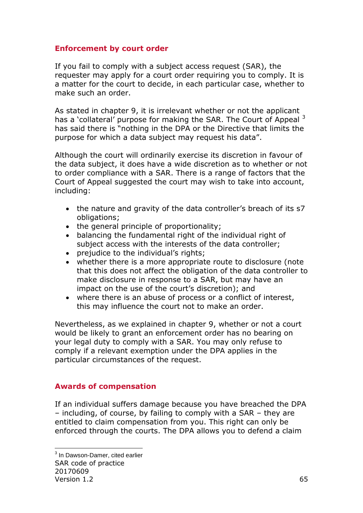# <span id="page-64-0"></span>**Enforcement by court order**

If you fail to comply with a subject access request (SAR), the requester may apply for a court order requiring you to comply. It is a matter for the court to decide, in each particular case, whether to make such an order.

As stated in chapter 9, it is irrelevant whether or not the applicant has a 'collateral' purpose for making the SAR. The Court of Appeal <sup>3</sup> has said there is "nothing in the DPA or the Directive that limits the purpose for which a data subject may request his data".

Although the court will ordinarily exercise its discretion in favour of the data subject, it does have a wide discretion as to whether or not to order compliance with a SAR. There is a range of factors that the Court of Appeal suggested the court may wish to take into account, including:

- the nature and gravity of the data controller's breach of its s7 obligations;
- the general principle of proportionality;
- balancing the fundamental right of the individual right of subject access with the interests of the data controller;
- prejudice to the individual's rights;
- whether there is a more appropriate route to disclosure (note that this does not affect the obligation of the data controller to make disclosure in response to a SAR, but may have an impact on the use of the court's discretion); and
- where there is an abuse of process or a conflict of interest, this may influence the court not to make an order.

Nevertheless, as we explained in chapter 9, whether or not a court would be likely to grant an enforcement order has no bearing on your legal duty to comply with a SAR. You may only refuse to comply if a relevant exemption under the DPA applies in the particular circumstances of the request.

#### <span id="page-64-1"></span>**Awards of compensation**

If an individual suffers damage because you have breached the DPA – including, of course, by failing to comply with a SAR – they are entitled to claim compensation from you. This right can only be enforced through the courts. The DPA allows you to defend a claim

SAR code of practice 20170609 Version 1.2 65 -<sup>3</sup> In Dawson-Damer, cited earlier